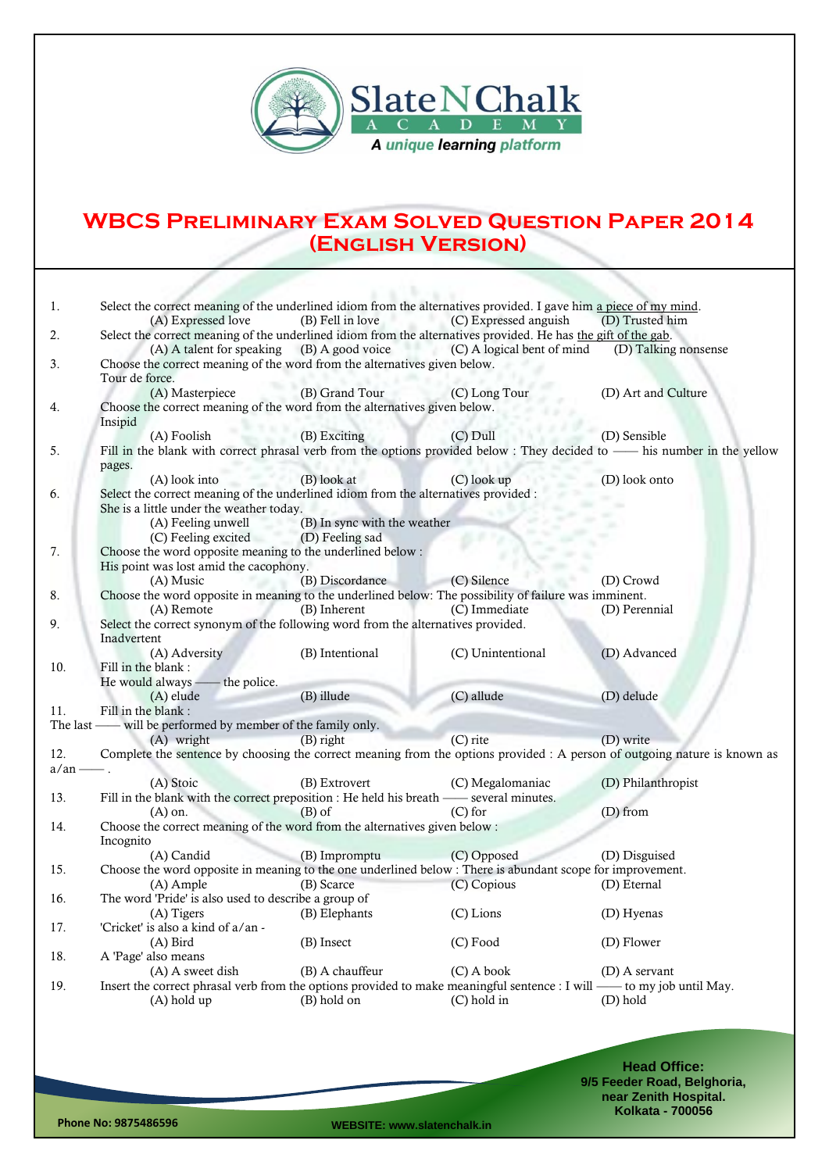

## **WBCS Preliminary Exam Solved Question Paper 2014 (English Version)**

| 1.              | Select the correct meaning of the underlined idiom from the alternatives provided. I gave him a piece of my mind.         |                                                                           |                                                                       |                      |  |  |  |  |
|-----------------|---------------------------------------------------------------------------------------------------------------------------|---------------------------------------------------------------------------|-----------------------------------------------------------------------|----------------------|--|--|--|--|
|                 | (A) Expressed love                                                                                                        | (B) Fell in love                                                          | (C) Expressed anguish                                                 | (D) Trusted him      |  |  |  |  |
| 2.              | Select the correct meaning of the underlined idiom from the alternatives provided. He has the gift of the gab.            |                                                                           |                                                                       |                      |  |  |  |  |
|                 |                                                                                                                           |                                                                           | (A) A talent for speaking (B) A good voice (C) A logical bent of mind | (D) Talking nonsense |  |  |  |  |
| 3.              | Tour de force.                                                                                                            | Choose the correct meaning of the word from the alternatives given below. |                                                                       |                      |  |  |  |  |
|                 | (A) Masterpiece                                                                                                           | (B) Grand Tour                                                            | (C) Long Tour                                                         | (D) Art and Culture  |  |  |  |  |
| 4.              | Choose the correct meaning of the word from the alternatives given below.                                                 |                                                                           |                                                                       |                      |  |  |  |  |
|                 | Insipid                                                                                                                   |                                                                           |                                                                       |                      |  |  |  |  |
|                 | (A) Foolish                                                                                                               | (B) Exciting                                                              | $(C)$ Dull                                                            | (D) Sensible         |  |  |  |  |
| 5.              | Fill in the blank with correct phrasal verb from the options provided below : They decided to — his number in the yellow  |                                                                           |                                                                       |                      |  |  |  |  |
|                 | pages.                                                                                                                    |                                                                           |                                                                       |                      |  |  |  |  |
|                 | (A) look into                                                                                                             | (B) look at                                                               | (C) look up                                                           | (D) look onto        |  |  |  |  |
| 6.              | Select the correct meaning of the underlined idiom from the alternatives provided :                                       |                                                                           |                                                                       |                      |  |  |  |  |
|                 | She is a little under the weather today.                                                                                  |                                                                           |                                                                       |                      |  |  |  |  |
|                 | (A) Feeling unwell                                                                                                        | (B) In sync with the weather                                              |                                                                       |                      |  |  |  |  |
|                 | (C) Feeling excited                                                                                                       | (D) Feeling sad                                                           |                                                                       |                      |  |  |  |  |
| 7.              | Choose the word opposite meaning to the underlined below :                                                                |                                                                           |                                                                       |                      |  |  |  |  |
|                 | His point was lost amid the cacophony.                                                                                    |                                                                           |                                                                       |                      |  |  |  |  |
|                 | (A) Music                                                                                                                 | (B) Discordance                                                           | (C) Silence                                                           | (D) Crowd            |  |  |  |  |
| 8.              | Choose the word opposite in meaning to the underlined below: The possibility of failure was imminent.                     |                                                                           |                                                                       |                      |  |  |  |  |
|                 | (A) Remote                                                                                                                | (B) Inherent                                                              | (C) Immediate                                                         | (D) Perennial        |  |  |  |  |
| 9.              | Select the correct synonym of the following word from the alternatives provided.                                          |                                                                           |                                                                       |                      |  |  |  |  |
|                 | Inadvertent                                                                                                               |                                                                           |                                                                       |                      |  |  |  |  |
|                 | (A) Adversity                                                                                                             | (B) Intentional                                                           | (C) Unintentional                                                     | (D) Advanced         |  |  |  |  |
| 10.             | Fill in the blank:                                                                                                        |                                                                           |                                                                       |                      |  |  |  |  |
|                 | He would always - the police.                                                                                             |                                                                           |                                                                       |                      |  |  |  |  |
| 11.             | $(A)$ elude<br>Fill in the blank:                                                                                         | (B) illude                                                                | (C) allude                                                            | (D) delude           |  |  |  |  |
|                 | The last — will be performed by member of the family only.                                                                |                                                                           |                                                                       |                      |  |  |  |  |
|                 | (A) wright                                                                                                                | $(B)$ right                                                               | $(C)$ rite                                                            | (D) write            |  |  |  |  |
| 12.             | Complete the sentence by choosing the correct meaning from the options provided : A person of outgoing nature is known as |                                                                           |                                                                       |                      |  |  |  |  |
| $a/\text{an}$ . |                                                                                                                           |                                                                           |                                                                       |                      |  |  |  |  |
|                 | (A) Stoic                                                                                                                 | (B) Extrovert                                                             | (C) Megalomaniac                                                      | (D) Philanthropist   |  |  |  |  |
| 13.             | Fill in the blank with the correct preposition : He held his breath — several minutes.                                    |                                                                           |                                                                       |                      |  |  |  |  |
|                 | $(A)$ on.                                                                                                                 | $(B)$ of                                                                  | $(C)$ for                                                             | (D) from             |  |  |  |  |
| 14.             | Choose the correct meaning of the word from the alternatives given below :                                                |                                                                           |                                                                       |                      |  |  |  |  |
|                 | Incognito                                                                                                                 |                                                                           |                                                                       |                      |  |  |  |  |
|                 | (A) Candid                                                                                                                | (B) Impromptu                                                             | (C) Opposed                                                           | (D) Disguised        |  |  |  |  |
| 15.             | Choose the word opposite in meaning to the one underlined below : There is abundant scope for improvement.                |                                                                           |                                                                       |                      |  |  |  |  |
|                 | (A) Ample                                                                                                                 | (B) Scarce                                                                | (C) Copious                                                           | (D) Eternal          |  |  |  |  |
| 16.             | The word 'Pride' is also used to describe a group of                                                                      |                                                                           |                                                                       |                      |  |  |  |  |
|                 | (A) Tigers (B) Elephants                                                                                                  |                                                                           | (C) Lions                                                             | (D) Hyenas           |  |  |  |  |
| 17.             | 'Cricket' is also a kind of a/an -                                                                                        |                                                                           |                                                                       |                      |  |  |  |  |
|                 | $(A)$ Bird                                                                                                                | (B) Insect                                                                | $(C)$ Food                                                            | (D) Flower           |  |  |  |  |
| 18.             | A 'Page' also means                                                                                                       |                                                                           |                                                                       |                      |  |  |  |  |
|                 | (A) A sweet dish                                                                                                          | (B) A chauffeur                                                           | $(C)$ A book                                                          | (D) A servant        |  |  |  |  |
| 19.             | Insert the correct phrasal verb from the options provided to make meaningful sentence : I will — to my job until May.     |                                                                           |                                                                       |                      |  |  |  |  |
|                 | $(A)$ hold up                                                                                                             | (B) hold on                                                               | $(C)$ hold in                                                         | (D) hold             |  |  |  |  |
|                 |                                                                                                                           |                                                                           |                                                                       |                      |  |  |  |  |
|                 |                                                                                                                           |                                                                           |                                                                       |                      |  |  |  |  |
|                 |                                                                                                                           |                                                                           |                                                                       |                      |  |  |  |  |
|                 |                                                                                                                           |                                                                           |                                                                       |                      |  |  |  |  |

**Head Office: 9/5 Feeder Road, Belghoria, near Zenith Hospital. Kolkata - 700056**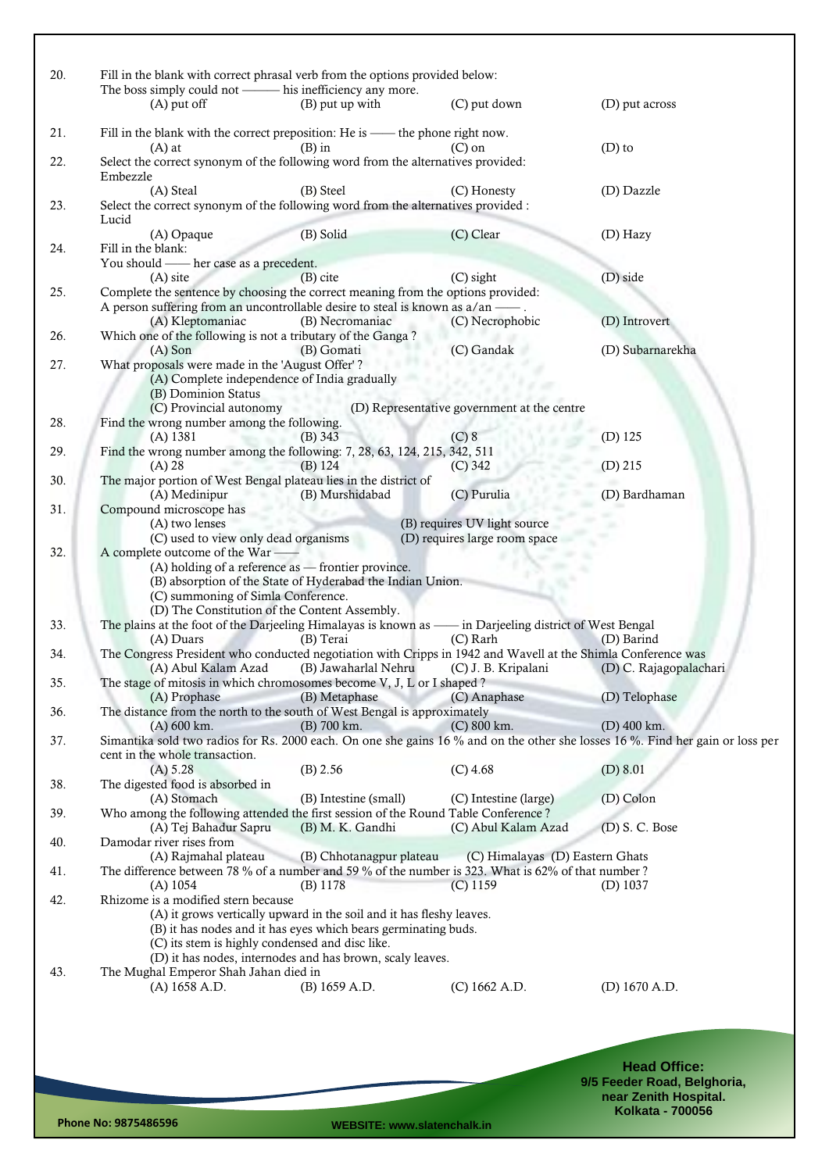| 20. | Fill in the blank with correct phrasal verb from the options provided below:                                                                                       |                          |                                             |                             |
|-----|--------------------------------------------------------------------------------------------------------------------------------------------------------------------|--------------------------|---------------------------------------------|-----------------------------|
|     | The boss simply could not - his inefficiency any more.<br>$(A)$ put off                                                                                            | (B) put up with          | (C) put down                                | (D) put across              |
|     |                                                                                                                                                                    |                          |                                             |                             |
| 21. | Fill in the blank with the correct preposition: He is - the phone right now.<br>$(A)$ at                                                                           | $(B)$ in                 | $(C)$ on                                    | $(D)$ to                    |
| 22. | Select the correct synonym of the following word from the alternatives provided:<br>Embezzle                                                                       |                          |                                             |                             |
| 23. | (A) Steal<br>Select the correct synonym of the following word from the alternatives provided :                                                                     | (B) Steel                | (C) Honesty                                 | (D) Dazzle                  |
|     | Lucid<br>(A) Opaque                                                                                                                                                | (B) Solid                | (C) Clear                                   | (D) Hazy                    |
| 24. | Fill in the blank:<br>You should - her case as a precedent.                                                                                                        |                          |                                             |                             |
|     | (A) site                                                                                                                                                           | $(B)$ cite               | (C) sight                                   | (D) side                    |
| 25. | Complete the sentence by choosing the correct meaning from the options provided:<br>A person suffering from an uncontrollable desire to steal is known as a/an — . |                          |                                             |                             |
|     | (A) Kleptomaniac<br>Which one of the following is not a tributary of the Ganga?                                                                                    | (B) Necromaniac          | (C) Necrophobic                             | (D) Introvert               |
| 26. | $(A)$ Son                                                                                                                                                          | (B) Gomati               | (C) Gandak                                  | (D) Subarnarekha            |
| 27. | What proposals were made in the 'August Offer'?<br>(A) Complete independence of India gradually<br>(B) Dominion Status                                             |                          |                                             |                             |
| 28. | (C) Provincial autonomy<br>Find the wrong number among the following.                                                                                              |                          | (D) Representative government at the centre |                             |
|     | $(A)$ 1381                                                                                                                                                         | $(B)$ 343                | (C) 8                                       | $(D)$ 125                   |
| 29. | Find the wrong number among the following: 7, 28, 63, 124, 215, 342, 511                                                                                           |                          |                                             |                             |
|     | $(A)$ 28                                                                                                                                                           | $(B)$ 124                | $(C)$ 342                                   | $(D)$ 215                   |
| 30. | The major portion of West Bengal plateau lies in the district of<br>(A) Medinipur                                                                                  | (B) Murshidabad          | (C) Purulia                                 | (D) Bardhaman               |
| 31. | Compound microscope has<br>(A) two lenses                                                                                                                          |                          | (B) requires UV light source                |                             |
|     | (C) used to view only dead organisms                                                                                                                               |                          | (D) requires large room space               |                             |
| 32. | A complete outcome of the War-                                                                                                                                     |                          |                                             |                             |
|     | (A) holding of a reference as - frontier province.                                                                                                                 |                          |                                             |                             |
|     | (B) absorption of the State of Hyderabad the Indian Union.                                                                                                         |                          |                                             |                             |
|     | (C) summoning of Simla Conference.                                                                                                                                 |                          |                                             |                             |
|     | (D) The Constitution of the Content Assembly.                                                                                                                      |                          |                                             |                             |
| 33. | The plains at the foot of the Darjeeling Himalayas is known as - in Darjeeling district of West Bengal<br>(A) Duars                                                | (B) Terai                | (C) Rarh                                    | (D) Barind                  |
| 34. | The Congress President who conducted negotiation with Cripps in 1942 and Wavell at the Shimla Conference was                                                       |                          |                                             |                             |
|     | (A) Abul Kalam Azad                                                                                                                                                | (B) Jawaharlal Nehru     | (C) J. B. Kripalani                         | (D) C. Rajagopalachari      |
| 35. | The stage of mitosis in which chromosomes become V, J, L or I shaped?                                                                                              |                          |                                             |                             |
|     | (A) Prophase                                                                                                                                                       | (B) Metaphase            | (C) Anaphase                                | (D) Telophase               |
| 36. | The distance from the north to the south of West Bengal is approximately                                                                                           |                          |                                             |                             |
| 37. | $(A)$ 600 km.<br>Simantika sold two radios for Rs. 2000 each. On one she gains 16 % and on the other she losses 16 %. Find her gain or loss per                    | (B) 700 km.              | $(C) 800$ km.                               | $(D)$ 400 km.               |
|     | cent in the whole transaction.                                                                                                                                     |                          |                                             |                             |
|     | (A) 5.28                                                                                                                                                           | (B) 2.56                 | $(C)$ 4.68                                  | (D) 8.01                    |
| 38. | The digested food is absorbed in                                                                                                                                   |                          |                                             |                             |
|     | (A) Stomach                                                                                                                                                        | (B) Intestine (small)    | (C) Intestine (large)                       | (D) Colon                   |
| 39. | Who among the following attended the first session of the Round Table Conference?                                                                                  |                          |                                             |                             |
| 40. | (A) Tej Bahadur Sapru<br>Damodar river rises from                                                                                                                  | (B) M. K. Gandhi         | (C) Abul Kalam Azad                         | $(D)$ S. C. Bose            |
|     | (A) Rajmahal plateau                                                                                                                                               | (B) Chhotanagpur plateau | (C) Himalayas (D) Eastern Ghats             |                             |
| 41. | The difference between 78 % of a number and 59 % of the number is 323. What is 62% of that number ?                                                                |                          |                                             |                             |
|     | $(A)$ 1054                                                                                                                                                         | (B) 1178                 | $(C)$ 1159                                  | $(D)$ 1037                  |
| 42. | Rhizome is a modified stern because                                                                                                                                |                          |                                             |                             |
|     | (A) it grows vertically upward in the soil and it has fleshy leaves.                                                                                               |                          |                                             |                             |
|     | (B) it has nodes and it has eyes which bears germinating buds.                                                                                                     |                          |                                             |                             |
|     | (C) its stem is highly condensed and disc like.                                                                                                                    |                          |                                             |                             |
| 43. | (D) it has nodes, internodes and has brown, scaly leaves.<br>The Mughal Emperor Shah Jahan died in                                                                 |                          |                                             |                             |
|     | (A) 1658 A.D.                                                                                                                                                      | (B) 1659 A.D.            | (C) 1662 A.D.                               | (D) 1670 A.D.               |
|     |                                                                                                                                                                    |                          |                                             |                             |
|     |                                                                                                                                                                    |                          |                                             |                             |
|     |                                                                                                                                                                    |                          |                                             |                             |
|     |                                                                                                                                                                    |                          |                                             |                             |
|     |                                                                                                                                                                    |                          |                                             | <b>Head Office:</b>         |
|     |                                                                                                                                                                    |                          |                                             | 9/5 Feeder Road, Belghoria, |
|     |                                                                                                                                                                    |                          |                                             | near Zenith Hospital.       |

**Phone No: 9875486596 WEBSITE: www.slatenchalk.in**

**Kolkata - 700056**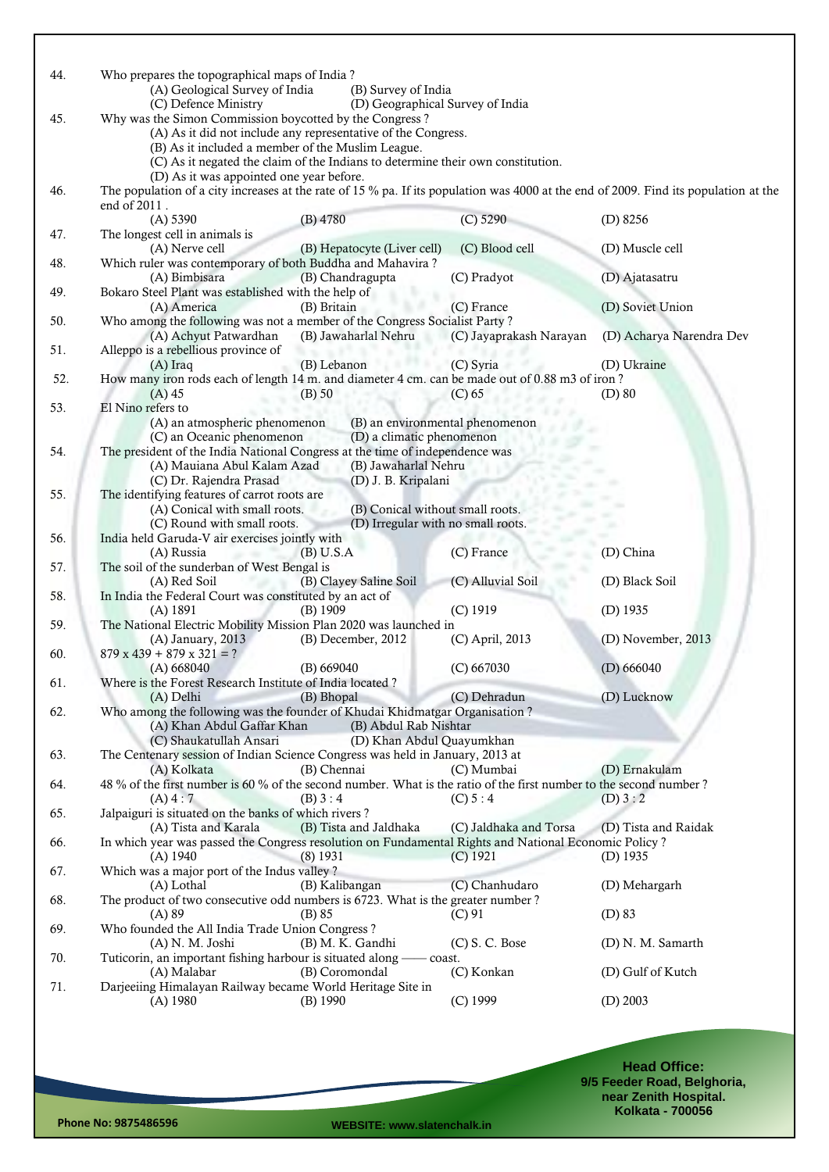| 44. | Who prepares the topographical maps of India?<br>(A) Geological Survey of India                                                      | (B) Survey of India                |                          |
|-----|--------------------------------------------------------------------------------------------------------------------------------------|------------------------------------|--------------------------|
|     | (C) Defence Ministry                                                                                                                 | (D) Geographical Survey of India   |                          |
| 45. | Why was the Simon Commission boycotted by the Congress?                                                                              |                                    |                          |
|     | (A) As it did not include any representative of the Congress.                                                                        |                                    |                          |
|     | (B) As it included a member of the Muslim League.                                                                                    |                                    |                          |
|     | (C) As it negated the claim of the Indians to determine their own constitution.                                                      |                                    |                          |
|     | (D) As it was appointed one year before.                                                                                             |                                    |                          |
| 46. | The population of a city increases at the rate of 15 % pa. If its population was 4000 at the end of 2009. Find its population at the |                                    |                          |
|     | end of 2011.                                                                                                                         |                                    |                          |
|     | (A) 5390<br>$(B)$ 4780                                                                                                               | $(C)$ 5290                         | $(D)$ 8256               |
| 47. | The longest cell in animals is                                                                                                       |                                    |                          |
|     |                                                                                                                                      |                                    |                          |
|     | (A) Nerve cell<br>(B) Hepatocyte (Liver cell)                                                                                        | (C) Blood cell                     | (D) Muscle cell          |
| 48. | Which ruler was contemporary of both Buddha and Mahavira?                                                                            |                                    |                          |
|     | (A) Bimbisara<br>(B) Chandragupta                                                                                                    | (C) Pradyot                        | (D) Ajatasatru           |
| 49. | Bokaro Steel Plant was established with the help of                                                                                  |                                    |                          |
|     | (A) America<br>(B) Britain                                                                                                           | (C) France                         | (D) Soviet Union         |
| 50. | Who among the following was not a member of the Congress Socialist Party?                                                            |                                    |                          |
|     | (A) Achyut Patwardhan<br>(B) Jawaharlal Nehru                                                                                        | (C) Jayaprakash Narayan            | (D) Acharya Narendra Dev |
| 51. | Alleppo is a rebellious province of                                                                                                  |                                    |                          |
|     | (B) Lebanon<br>(A) Iraq                                                                                                              | (C) Syria                          | (D) Ukraine              |
| 52. | How many iron rods each of length 14 m. and diameter 4 cm. can be made out of 0.88 m3 of iron?                                       |                                    |                          |
|     |                                                                                                                                      |                                    |                          |
|     | $(A)$ 45<br>$(B)$ 50                                                                                                                 | (C) 65                             | $(D)$ 80                 |
| 53. | El Nino refers to                                                                                                                    |                                    |                          |
|     | (A) an atmospheric phenomenon                                                                                                        | (B) an environmental phenomenon    |                          |
|     | (C) an Oceanic phenomenon                                                                                                            | (D) a climatic phenomenon          |                          |
| 54. | The president of the India National Congress at the time of independence was                                                         |                                    |                          |
|     | (A) Mauiana Abul Kalam Azad                                                                                                          | (B) Jawaharlal Nehru               |                          |
|     | (C) Dr. Rajendra Prasad                                                                                                              | (D) J. B. Kripalani                |                          |
| 55. | The identifying features of carrot roots are                                                                                         |                                    |                          |
|     | (A) Conical with small roots.                                                                                                        | (B) Conical without small roots.   |                          |
|     | (C) Round with small roots.                                                                                                          | (D) Irregular with no small roots. |                          |
| 56. | India held Garuda-V air exercises jointly with                                                                                       |                                    |                          |
|     |                                                                                                                                      |                                    |                          |
|     | (A) Russia<br>(B) U.S.A                                                                                                              | (C) France                         | (D) China                |
| 57. | The soil of the sunderban of West Bengal is                                                                                          |                                    |                          |
|     | (A) Red Soil<br>(B) Clayey Saline Soil                                                                                               | (C) Alluvial Soil                  | (D) Black Soil           |
| 58. | In India the Federal Court was constituted by an act of                                                                              |                                    |                          |
|     | (B) 1909<br>(A) 1891                                                                                                                 | (C) 1919                           | $(D)$ 1935               |
| 59. | The National Electric Mobility Mission Plan 2020 was launched in                                                                     |                                    |                          |
|     | (A) January, 2013<br>(B) December, 2012                                                                                              | (C) April, 2013                    | (D) November, 2013       |
| 60. | $879 \times 439 + 879 \times 321 = ?$                                                                                                |                                    |                          |
|     | (A) 668040<br>(B) 669040                                                                                                             | (C) 667030                         | (D) 666040               |
| 61. | Where is the Forest Research Institute of India located?                                                                             |                                    |                          |
|     | (B) Bhopal<br>(A) Delhi                                                                                                              | (C) Dehradun                       | (D) Lucknow              |
| 62. | Who among the following was the founder of Khudai Khidmatgar Organisation?                                                           |                                    |                          |
|     | (A) Khan Abdul Gaffar Khan                                                                                                           |                                    |                          |
|     |                                                                                                                                      | (B) Abdul Rab Nishtar              |                          |
|     | (C) Shaukatullah Ansari                                                                                                              | (D) Khan Abdul Quayumkhan          |                          |
| 63. | The Centenary session of Indian Science Congress was held in January, 2013 at                                                        |                                    |                          |
|     | (B) Chennai<br>(A) Kolkata                                                                                                           | (C) Mumbai                         | (D) Ernakulam            |
| 64. | 48 % of the first number is 60 % of the second number. What is the ratio of the first number to the second number?                   |                                    |                          |
|     | (B) 3:4<br>(A) 4:7                                                                                                                   | (C) 5:4                            | (D) 3:2                  |
| 65. | Jalpaiguri is situated on the banks of which rivers?                                                                                 |                                    |                          |
|     | (A) Tista and Karala<br>(B) Tista and Jaldhaka                                                                                       | (C) Jaldhaka and Torsa             | (D) Tista and Raidak     |
| 66. | In which year was passed the Congress resolution on Fundamental Rights and National Economic Policy?                                 |                                    |                          |
|     | $(A)$ 1940<br>$(8)$ 1931                                                                                                             | $(C)$ 1921                         | $(D)$ 1935               |
| 67. | Which was a major port of the Indus valley?                                                                                          |                                    |                          |
|     |                                                                                                                                      |                                    |                          |
|     | (A) Lothal<br>(B) Kalibangan                                                                                                         | (C) Chanhudaro                     | (D) Mehargarh            |
| 68. | The product of two consecutive odd numbers is 6723. What is the greater number?                                                      |                                    |                          |
|     | $(B)$ 85<br>(A) 89                                                                                                                   | (C) 91                             | $(D)$ 83                 |
| 69. | Who founded the All India Trade Union Congress?                                                                                      |                                    |                          |
|     | (A) N. M. Joshi<br>(B) M. K. Gandhi                                                                                                  | $(C)$ S. C. Bose                   | (D) N. M. Samarth        |
| 70. | Tuticorin, an important fishing harbour is situated along — coast.                                                                   |                                    |                          |
|     | (A) Malabar<br>(B) Coromondal                                                                                                        | (C) Konkan                         | (D) Gulf of Kutch        |
| 71. | Darjeeiing Himalayan Railway became World Heritage Site in                                                                           |                                    |                          |
|     | $(A)$ 1980<br>$(B)$ 1990                                                                                                             | (C) 1999                           | $(D)$ 2003               |
|     |                                                                                                                                      |                                    |                          |

**Head Office: 9/5 Feeder Road, Belghoria, near Zenith Hospital. Kolkata - 700056**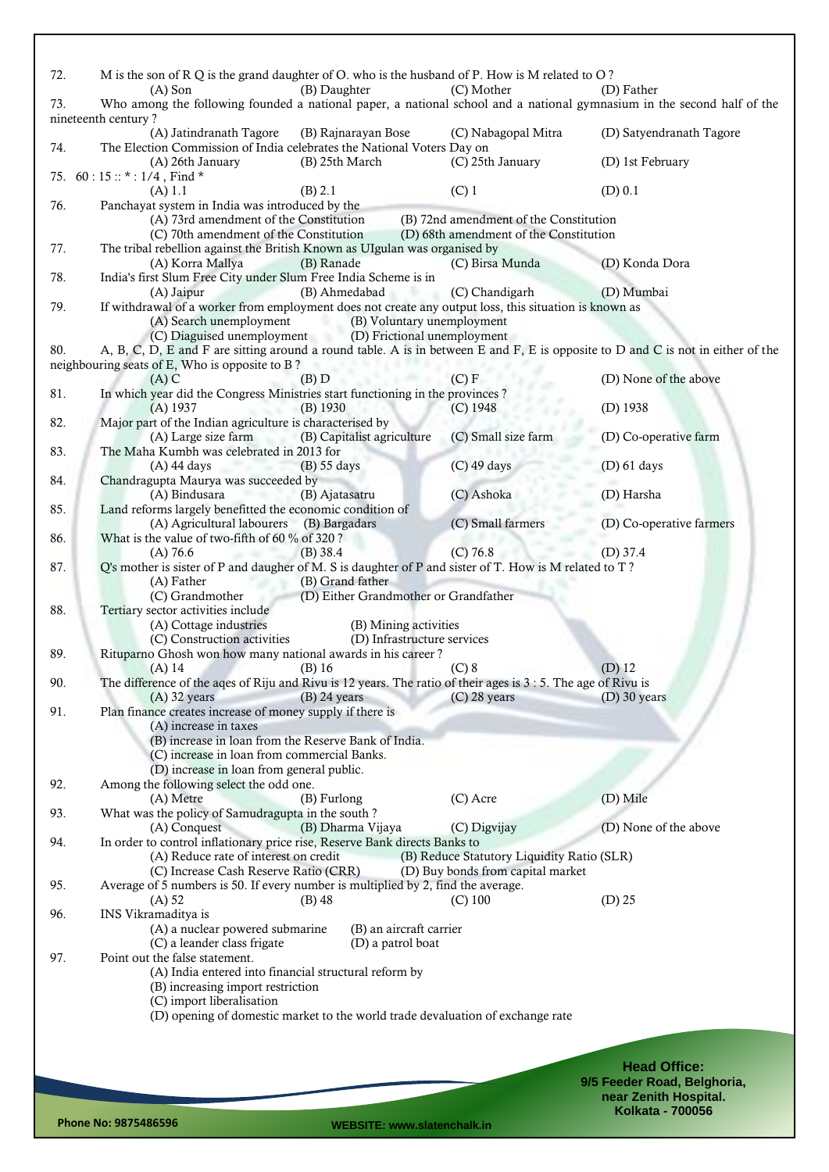| 72. | M is the son of R Q is the grand daughter of O. who is the husband of P. How is M related to O?                                               |                                            |                             |
|-----|-----------------------------------------------------------------------------------------------------------------------------------------------|--------------------------------------------|-----------------------------|
|     | (B) Daughter<br>$(A)$ Son                                                                                                                     | (C) Mother                                 | (D) Father                  |
| 73. | Who among the following founded a national paper, a national school and a national gymnasium in the second half of the<br>nineteenth century? |                                            |                             |
|     | (A) Jatindranath Tagore<br>(B) Rajnarayan Bose                                                                                                | (C) Nabagopal Mitra                        | (D) Satyendranath Tagore    |
| 74. | The Election Commission of India celebrates the National Voters Day on                                                                        |                                            |                             |
|     | (B) 25th March<br>(A) 26th January                                                                                                            | (C) 25th January                           | (D) 1st February            |
|     | 75. 60 : 15 :: $*$ : 1/4, Find $*$<br>(B) 2.1<br>(A) 1.1                                                                                      | $(C)$ 1                                    | (D) 0.1                     |
| 76. | Panchayat system in India was introduced by the                                                                                               |                                            |                             |
|     | (A) 73rd amendment of the Constitution                                                                                                        | (B) 72nd amendment of the Constitution     |                             |
|     | (C) 70th amendment of the Constitution                                                                                                        | (D) 68th amendment of the Constitution     |                             |
| 77. | The tribal rebellion against the British Known as UIgulan was organised by<br>(A) Korra Mallya<br>(B) Ranade                                  | (C) Birsa Munda                            | (D) Konda Dora              |
| 78. | India's first Slum Free City under Slum Free India Scheme is in                                                                               |                                            |                             |
|     | (B) Ahmedabad<br>(A) Jaipur                                                                                                                   | (C) Chandigarh                             | (D) Mumbai                  |
| 79. | If withdrawal of a worker from employment does not create any output loss, this situation is known as                                         |                                            |                             |
|     | (A) Search unemployment<br>(C) Diaguised unemployment (D) Frictional unemployment                                                             | (B) Voluntary unemployment                 |                             |
| 80. | A, B, C, D, E and F are sitting around a round table. A is in between E and F, E is opposite to D and C is not in either of the               |                                            |                             |
|     | neighbouring seats of E, Who is opposite to B?                                                                                                |                                            |                             |
|     | $(A)$ C<br>(B) D                                                                                                                              | (C) F                                      | (D) None of the above       |
| 81. | In which year did the Congress Ministries start functioning in the provinces?                                                                 |                                            |                             |
| 82. | $(A)$ 1937<br>$(B)$ 1930<br>Major part of the Indian agriculture is characterised by                                                          | $(C)$ 1948                                 | (D) 1938                    |
|     | (B) Capitalist agriculture<br>(A) Large size farm                                                                                             | (C) Small size farm                        | (D) Co-operative farm       |
| 83. | The Maha Kumbh was celebrated in 2013 for                                                                                                     |                                            |                             |
|     | $(A)$ 44 days<br><b>PATRO</b><br>(B) 55 days                                                                                                  | $(C)$ 49 days                              | $(D)$ 61 days               |
| 84. | Chandragupta Maurya was succeeded by<br>(A) Bindusara<br>(B) Ajatasatru                                                                       | (C) Ashoka                                 | (D) Harsha                  |
| 85. | Land reforms largely benefitted the economic condition of                                                                                     |                                            |                             |
|     | (A) Agricultural labourers (B) Bargadars                                                                                                      | (C) Small farmers                          | (D) Co-operative farmers    |
| 86. | What is the value of two-fifth of 60 % of 320?                                                                                                |                                            |                             |
|     | $(B)$ 38.4<br>(A) 76.6<br>Q's mother is sister of P and daugher of M. S is daughter of P and sister of T. How is M related to T?              | $(C)$ 76.8                                 | (D) $37.4$                  |
| 87. | (B) Grand father<br>(A) Father                                                                                                                |                                            |                             |
|     | (D) Either Grandmother or Grandfather<br>(C) Grandmother                                                                                      |                                            |                             |
| 88. | Tertiary sector activities include                                                                                                            |                                            |                             |
|     | (B) Mining activities<br>(A) Cottage industries                                                                                               |                                            |                             |
| 89. | (C) Construction activities<br>(D) Infrastructure services<br>Rituparno Ghosh won how many national awards in his career?                     |                                            |                             |
|     | $(B)$ 16<br>$(A)$ 14                                                                                                                          | $(C)$ 8                                    | $(D)$ 12                    |
| 90. | The difference of the aqes of Riju and Rivu is 12 years. The ratio of their ages is 3 : 5. The age of Rivu is                                 |                                            |                             |
|     | $(A)$ 32 years<br>$(B)$ 24 years                                                                                                              | $(C)$ 28 years                             | $(D)$ 30 years              |
| 91. | Plan finance creates increase of money supply if there is<br>(A) increase in taxes                                                            |                                            |                             |
|     | (B) increase in loan from the Reserve Bank of India.                                                                                          |                                            |                             |
|     | (C) increase in loan from commercial Banks.                                                                                                   |                                            |                             |
|     | (D) increase in loan from general public.                                                                                                     |                                            |                             |
| 92. | Among the following select the odd one.<br>(A) Metre<br>(B) Furlong                                                                           | (C) Acre                                   | (D) Mile                    |
| 93. | What was the policy of Samudragupta in the south?                                                                                             |                                            |                             |
|     | (B) Dharma Vijaya<br>(A) Conquest                                                                                                             | (C) Digvijay                               | (D) None of the above       |
| 94. | In order to control inflationary price rise, Reserve Bank directs Banks to                                                                    |                                            |                             |
|     | (A) Reduce rate of interest on credit                                                                                                         | (B) Reduce Statutory Liquidity Ratio (SLR) |                             |
| 95. | (C) Increase Cash Reserve Ratio (CRR)<br>Average of 5 numbers is 50. If every number is multiplied by 2, find the average.                    | (D) Buy bonds from capital market          |                             |
|     | (A) 52<br>$(B)$ 48                                                                                                                            | $(C)$ 100                                  | $(D)$ 25                    |
| 96. | INS Vikramaditya is                                                                                                                           |                                            |                             |
|     | (A) a nuclear powered submarine<br>(B) an aircraft carrier                                                                                    |                                            |                             |
| 97. | (D) a patrol boat<br>(C) a leander class frigate<br>Point out the false statement.                                                            |                                            |                             |
|     | (A) India entered into financial structural reform by                                                                                         |                                            |                             |
|     | (B) increasing import restriction                                                                                                             |                                            |                             |
|     | (C) import liberalisation                                                                                                                     |                                            |                             |
|     | (D) opening of domestic market to the world trade devaluation of exchange rate                                                                |                                            |                             |
|     |                                                                                                                                               |                                            |                             |
|     |                                                                                                                                               |                                            | <b>Head Office:</b>         |
|     |                                                                                                                                               |                                            | 9/5 Feeder Road, Belghoria, |
|     |                                                                                                                                               |                                            | near Zenith Hospital.       |
|     |                                                                                                                                               |                                            | <b>Kolkata - 700056</b>     |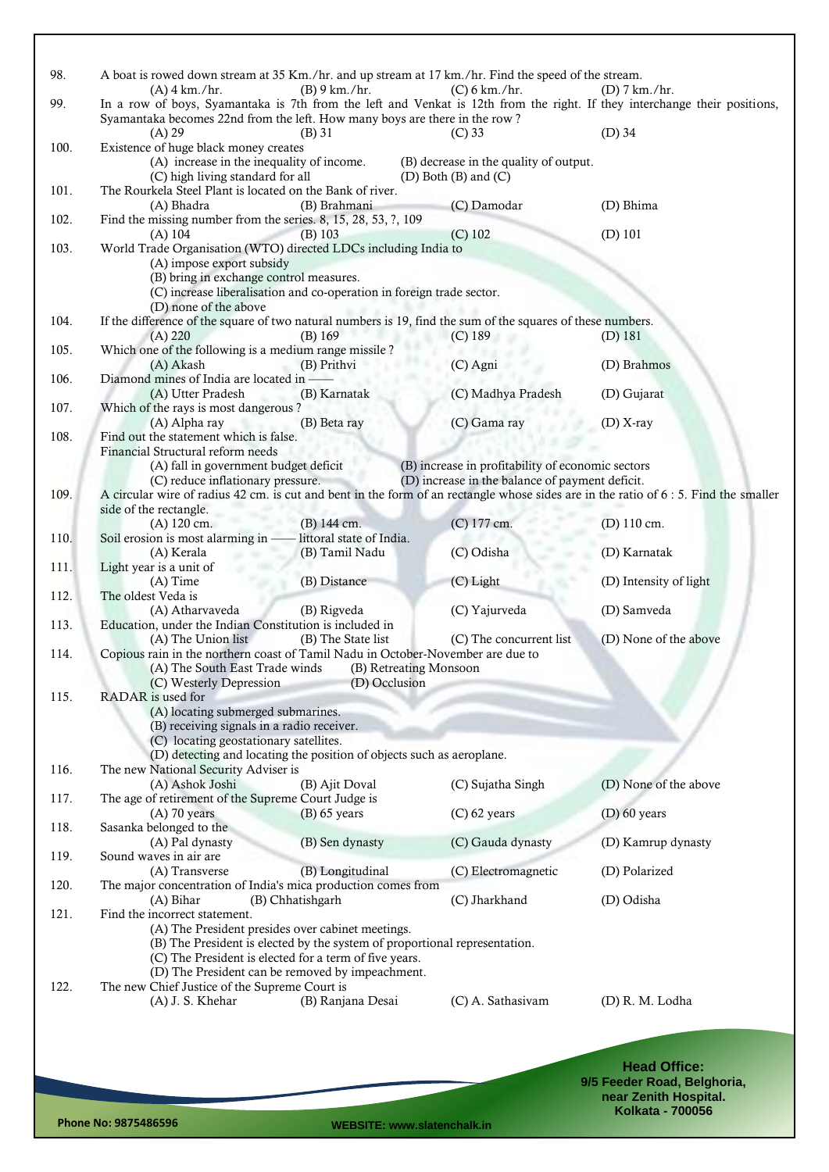| In a row of boys, Syamantaka is 7th from the left and Venkat is 12th from the right. If they interchange their positions,<br>99.<br>Syamantaka becomes 22nd from the left. How many boys are there in the row?<br>$(D)$ 34<br>$(A)$ 29<br>$(B)$ 31<br>$(C)$ 33<br>Existence of huge black money creates<br>100.<br>(A) increase in the inequality of income.<br>(B) decrease in the quality of output.<br>(C) high living standard for all<br>$(D)$ Both $(B)$ and $(C)$<br>The Rourkela Steel Plant is located on the Bank of river.<br>101.<br>(B) Brahmani<br>(C) Damodar<br>(D) Bhima<br>(A) Bhadra<br>Find the missing number from the series. 8, 15, 28, 53, ?, 109<br>102.<br>$(D)$ 101<br>(A) 104<br>(B) 103<br>$(C)$ 102<br>103.<br>World Trade Organisation (WTO) directed LDCs including India to<br>(A) impose export subsidy<br>(B) bring in exchange control measures.<br>(C) increase liberalisation and co-operation in foreign trade sector.<br>(D) none of the above<br>If the difference of the square of two natural numbers is 19, find the sum of the squares of these numbers.<br>104.<br>(B) 169<br>(A) 220<br>$(C)$ 189<br>$(D)$ 181<br>Which one of the following is a medium range missile?<br>105.<br>(A) Akash<br>(B) Prithvi<br>$(C)$ Agni<br>(D) Brahmos<br>Diamond mines of India are located in -<br>106.<br>(C) Madhya Pradesh<br>(A) Utter Pradesh<br>(B) Karnatak<br>(D) Gujarat<br>107.<br>Which of the rays is most dangerous?<br>(C) Gama ray<br>(A) Alpha ray<br>(B) Beta ray<br>$(D)$ X-ray<br>108.<br>Find out the statement which is false.<br>Financial Structural reform needs<br>(B) increase in profitability of economic sectors<br>(A) fall in government budget deficit<br>(C) reduce inflationary pressure.<br>(D) increase in the balance of payment deficit.<br>A circular wire of radius 42 cm. is cut and bent in the form of an rectangle whose sides are in the ratio of 6:5. Find the smaller<br>109.<br>side of the rectangle.<br>(B) 144 cm.<br>(C) 177 cm.<br>(D) 110 cm.<br>$(A)$ 120 cm.<br>- littoral state of India.<br>110.<br>Soil erosion is most alarming in $-$<br>(C) Odisha<br>(D) Karnatak<br>(B) Tamil Nadu<br>(A) Kerala<br>111.<br>Light year is a unit of<br>(B) Distance<br>$(C)$ Light<br>(D) Intensity of light<br>$(A)$ Time<br>The oldest Veda is<br>112.<br>(C) Yajurveda<br>(D) Samveda<br>(A) Atharvaveda<br>(B) Rigveda<br>Education, under the Indian Constitution is included in<br>113.<br>(D) None of the above<br>(A) The Union list<br>(B) The State list<br>(C) The concurrent list<br>Copious rain in the northern coast of Tamil Nadu in October-November are due to<br>114.<br>(A) The South East Trade winds<br>(B) Retreating Monsoon<br>(C) Westerly Depression<br>(D) Occlusion<br>115.<br>RADAR is used for<br>(A) locating submerged submarines.<br>(B) receiving signals in a radio receiver.<br>(C) locating geostationary satellites.<br>(D) detecting and locating the position of objects such as aeroplane.<br>116.<br>The new National Security Adviser is<br>(A) Ashok Joshi<br>(D) None of the above<br>(B) Ajit Doval<br>(C) Sujatha Singh<br>The age of retirement of the Supreme Court Judge is<br>117.<br>$(A)$ 70 years<br>$(B)$ 65 years<br>$(C)$ 62 years<br>$(D)$ 60 years<br>Sasanka belonged to the<br>118.<br>(C) Gauda dynasty<br>(A) Pal dynasty<br>(B) Sen dynasty<br>(D) Kamrup dynasty<br>Sound waves in air are<br>119.<br>(B) Longitudinal<br>(A) Transverse<br>(C) Electromagnetic<br>(D) Polarized<br>The major concentration of India's mica production comes from<br>120.<br>(B) Chhatishgarh<br>(C) Jharkhand<br>(A) Bihar<br>(D) Odisha<br>121.<br>Find the incorrect statement.<br>(A) The President presides over cabinet meetings.<br>(B) The President is elected by the system of proportional representation.<br>(C) The President is elected for a term of five years.<br>(D) The President can be removed by impeachment.<br>The new Chief Justice of the Supreme Court is<br>122.<br>(B) Ranjana Desai<br>(A) J. S. Khehar<br>(C) A. Sathasivam<br>(D) R. M. Lodha<br><b>Head Office:</b><br>9/5 Feeder Road, Belghoria,<br>near Zenith Hospital. | 98. | A boat is rowed down stream at 35 Km./hr. and up stream at 17 km./hr. Find the speed of the stream.<br>$(A)$ 4 km./hr. | (B) 9 km./hr. | $(C)$ 6 km./hr. | $(D)$ 7 km./hr. |
|---------------------------------------------------------------------------------------------------------------------------------------------------------------------------------------------------------------------------------------------------------------------------------------------------------------------------------------------------------------------------------------------------------------------------------------------------------------------------------------------------------------------------------------------------------------------------------------------------------------------------------------------------------------------------------------------------------------------------------------------------------------------------------------------------------------------------------------------------------------------------------------------------------------------------------------------------------------------------------------------------------------------------------------------------------------------------------------------------------------------------------------------------------------------------------------------------------------------------------------------------------------------------------------------------------------------------------------------------------------------------------------------------------------------------------------------------------------------------------------------------------------------------------------------------------------------------------------------------------------------------------------------------------------------------------------------------------------------------------------------------------------------------------------------------------------------------------------------------------------------------------------------------------------------------------------------------------------------------------------------------------------------------------------------------------------------------------------------------------------------------------------------------------------------------------------------------------------------------------------------------------------------------------------------------------------------------------------------------------------------------------------------------------------------------------------------------------------------------------------------------------------------------------------------------------------------------------------------------------------------------------------------------------------------------------------------------------------------------------------------------------------------------------------------------------------------------------------------------------------------------------------------------------------------------------------------------------------------------------------------------------------------------------------------------------------------------------------------------------------------------------------------------------------------------------------------------------------------------------------------------------------------------------------------------------------------------------------------------------------------------------------------------------------------------------------------------------------------------------------------------------------------------------------------------------------------------------------------------------------------------------------------------------------------------------------------------------------------------------------------------------------------------------------------------------------------------------------------------------------------------------------------------------------------------------------------------------------------------------------------------------------------------------------------------------------------------------------------------------------------------------------------------------------------------------------------------|-----|------------------------------------------------------------------------------------------------------------------------|---------------|-----------------|-----------------|
|                                                                                                                                                                                                                                                                                                                                                                                                                                                                                                                                                                                                                                                                                                                                                                                                                                                                                                                                                                                                                                                                                                                                                                                                                                                                                                                                                                                                                                                                                                                                                                                                                                                                                                                                                                                                                                                                                                                                                                                                                                                                                                                                                                                                                                                                                                                                                                                                                                                                                                                                                                                                                                                                                                                                                                                                                                                                                                                                                                                                                                                                                                                                                                                                                                                                                                                                                                                                                                                                                                                                                                                                                                                                                                                                                                                                                                                                                                                                                                                                                                                                                                                                                                                                   |     |                                                                                                                        |               |                 |                 |
|                                                                                                                                                                                                                                                                                                                                                                                                                                                                                                                                                                                                                                                                                                                                                                                                                                                                                                                                                                                                                                                                                                                                                                                                                                                                                                                                                                                                                                                                                                                                                                                                                                                                                                                                                                                                                                                                                                                                                                                                                                                                                                                                                                                                                                                                                                                                                                                                                                                                                                                                                                                                                                                                                                                                                                                                                                                                                                                                                                                                                                                                                                                                                                                                                                                                                                                                                                                                                                                                                                                                                                                                                                                                                                                                                                                                                                                                                                                                                                                                                                                                                                                                                                                                   |     |                                                                                                                        |               |                 |                 |
|                                                                                                                                                                                                                                                                                                                                                                                                                                                                                                                                                                                                                                                                                                                                                                                                                                                                                                                                                                                                                                                                                                                                                                                                                                                                                                                                                                                                                                                                                                                                                                                                                                                                                                                                                                                                                                                                                                                                                                                                                                                                                                                                                                                                                                                                                                                                                                                                                                                                                                                                                                                                                                                                                                                                                                                                                                                                                                                                                                                                                                                                                                                                                                                                                                                                                                                                                                                                                                                                                                                                                                                                                                                                                                                                                                                                                                                                                                                                                                                                                                                                                                                                                                                                   |     |                                                                                                                        |               |                 |                 |
|                                                                                                                                                                                                                                                                                                                                                                                                                                                                                                                                                                                                                                                                                                                                                                                                                                                                                                                                                                                                                                                                                                                                                                                                                                                                                                                                                                                                                                                                                                                                                                                                                                                                                                                                                                                                                                                                                                                                                                                                                                                                                                                                                                                                                                                                                                                                                                                                                                                                                                                                                                                                                                                                                                                                                                                                                                                                                                                                                                                                                                                                                                                                                                                                                                                                                                                                                                                                                                                                                                                                                                                                                                                                                                                                                                                                                                                                                                                                                                                                                                                                                                                                                                                                   |     |                                                                                                                        |               |                 |                 |
|                                                                                                                                                                                                                                                                                                                                                                                                                                                                                                                                                                                                                                                                                                                                                                                                                                                                                                                                                                                                                                                                                                                                                                                                                                                                                                                                                                                                                                                                                                                                                                                                                                                                                                                                                                                                                                                                                                                                                                                                                                                                                                                                                                                                                                                                                                                                                                                                                                                                                                                                                                                                                                                                                                                                                                                                                                                                                                                                                                                                                                                                                                                                                                                                                                                                                                                                                                                                                                                                                                                                                                                                                                                                                                                                                                                                                                                                                                                                                                                                                                                                                                                                                                                                   |     |                                                                                                                        |               |                 |                 |
|                                                                                                                                                                                                                                                                                                                                                                                                                                                                                                                                                                                                                                                                                                                                                                                                                                                                                                                                                                                                                                                                                                                                                                                                                                                                                                                                                                                                                                                                                                                                                                                                                                                                                                                                                                                                                                                                                                                                                                                                                                                                                                                                                                                                                                                                                                                                                                                                                                                                                                                                                                                                                                                                                                                                                                                                                                                                                                                                                                                                                                                                                                                                                                                                                                                                                                                                                                                                                                                                                                                                                                                                                                                                                                                                                                                                                                                                                                                                                                                                                                                                                                                                                                                                   |     |                                                                                                                        |               |                 |                 |
|                                                                                                                                                                                                                                                                                                                                                                                                                                                                                                                                                                                                                                                                                                                                                                                                                                                                                                                                                                                                                                                                                                                                                                                                                                                                                                                                                                                                                                                                                                                                                                                                                                                                                                                                                                                                                                                                                                                                                                                                                                                                                                                                                                                                                                                                                                                                                                                                                                                                                                                                                                                                                                                                                                                                                                                                                                                                                                                                                                                                                                                                                                                                                                                                                                                                                                                                                                                                                                                                                                                                                                                                                                                                                                                                                                                                                                                                                                                                                                                                                                                                                                                                                                                                   |     |                                                                                                                        |               |                 |                 |
|                                                                                                                                                                                                                                                                                                                                                                                                                                                                                                                                                                                                                                                                                                                                                                                                                                                                                                                                                                                                                                                                                                                                                                                                                                                                                                                                                                                                                                                                                                                                                                                                                                                                                                                                                                                                                                                                                                                                                                                                                                                                                                                                                                                                                                                                                                                                                                                                                                                                                                                                                                                                                                                                                                                                                                                                                                                                                                                                                                                                                                                                                                                                                                                                                                                                                                                                                                                                                                                                                                                                                                                                                                                                                                                                                                                                                                                                                                                                                                                                                                                                                                                                                                                                   |     |                                                                                                                        |               |                 |                 |
|                                                                                                                                                                                                                                                                                                                                                                                                                                                                                                                                                                                                                                                                                                                                                                                                                                                                                                                                                                                                                                                                                                                                                                                                                                                                                                                                                                                                                                                                                                                                                                                                                                                                                                                                                                                                                                                                                                                                                                                                                                                                                                                                                                                                                                                                                                                                                                                                                                                                                                                                                                                                                                                                                                                                                                                                                                                                                                                                                                                                                                                                                                                                                                                                                                                                                                                                                                                                                                                                                                                                                                                                                                                                                                                                                                                                                                                                                                                                                                                                                                                                                                                                                                                                   |     |                                                                                                                        |               |                 |                 |
|                                                                                                                                                                                                                                                                                                                                                                                                                                                                                                                                                                                                                                                                                                                                                                                                                                                                                                                                                                                                                                                                                                                                                                                                                                                                                                                                                                                                                                                                                                                                                                                                                                                                                                                                                                                                                                                                                                                                                                                                                                                                                                                                                                                                                                                                                                                                                                                                                                                                                                                                                                                                                                                                                                                                                                                                                                                                                                                                                                                                                                                                                                                                                                                                                                                                                                                                                                                                                                                                                                                                                                                                                                                                                                                                                                                                                                                                                                                                                                                                                                                                                                                                                                                                   |     |                                                                                                                        |               |                 |                 |
|                                                                                                                                                                                                                                                                                                                                                                                                                                                                                                                                                                                                                                                                                                                                                                                                                                                                                                                                                                                                                                                                                                                                                                                                                                                                                                                                                                                                                                                                                                                                                                                                                                                                                                                                                                                                                                                                                                                                                                                                                                                                                                                                                                                                                                                                                                                                                                                                                                                                                                                                                                                                                                                                                                                                                                                                                                                                                                                                                                                                                                                                                                                                                                                                                                                                                                                                                                                                                                                                                                                                                                                                                                                                                                                                                                                                                                                                                                                                                                                                                                                                                                                                                                                                   |     |                                                                                                                        |               |                 |                 |
|                                                                                                                                                                                                                                                                                                                                                                                                                                                                                                                                                                                                                                                                                                                                                                                                                                                                                                                                                                                                                                                                                                                                                                                                                                                                                                                                                                                                                                                                                                                                                                                                                                                                                                                                                                                                                                                                                                                                                                                                                                                                                                                                                                                                                                                                                                                                                                                                                                                                                                                                                                                                                                                                                                                                                                                                                                                                                                                                                                                                                                                                                                                                                                                                                                                                                                                                                                                                                                                                                                                                                                                                                                                                                                                                                                                                                                                                                                                                                                                                                                                                                                                                                                                                   |     |                                                                                                                        |               |                 |                 |
|                                                                                                                                                                                                                                                                                                                                                                                                                                                                                                                                                                                                                                                                                                                                                                                                                                                                                                                                                                                                                                                                                                                                                                                                                                                                                                                                                                                                                                                                                                                                                                                                                                                                                                                                                                                                                                                                                                                                                                                                                                                                                                                                                                                                                                                                                                                                                                                                                                                                                                                                                                                                                                                                                                                                                                                                                                                                                                                                                                                                                                                                                                                                                                                                                                                                                                                                                                                                                                                                                                                                                                                                                                                                                                                                                                                                                                                                                                                                                                                                                                                                                                                                                                                                   |     |                                                                                                                        |               |                 |                 |
|                                                                                                                                                                                                                                                                                                                                                                                                                                                                                                                                                                                                                                                                                                                                                                                                                                                                                                                                                                                                                                                                                                                                                                                                                                                                                                                                                                                                                                                                                                                                                                                                                                                                                                                                                                                                                                                                                                                                                                                                                                                                                                                                                                                                                                                                                                                                                                                                                                                                                                                                                                                                                                                                                                                                                                                                                                                                                                                                                                                                                                                                                                                                                                                                                                                                                                                                                                                                                                                                                                                                                                                                                                                                                                                                                                                                                                                                                                                                                                                                                                                                                                                                                                                                   |     |                                                                                                                        |               |                 |                 |
|                                                                                                                                                                                                                                                                                                                                                                                                                                                                                                                                                                                                                                                                                                                                                                                                                                                                                                                                                                                                                                                                                                                                                                                                                                                                                                                                                                                                                                                                                                                                                                                                                                                                                                                                                                                                                                                                                                                                                                                                                                                                                                                                                                                                                                                                                                                                                                                                                                                                                                                                                                                                                                                                                                                                                                                                                                                                                                                                                                                                                                                                                                                                                                                                                                                                                                                                                                                                                                                                                                                                                                                                                                                                                                                                                                                                                                                                                                                                                                                                                                                                                                                                                                                                   |     |                                                                                                                        |               |                 |                 |
|                                                                                                                                                                                                                                                                                                                                                                                                                                                                                                                                                                                                                                                                                                                                                                                                                                                                                                                                                                                                                                                                                                                                                                                                                                                                                                                                                                                                                                                                                                                                                                                                                                                                                                                                                                                                                                                                                                                                                                                                                                                                                                                                                                                                                                                                                                                                                                                                                                                                                                                                                                                                                                                                                                                                                                                                                                                                                                                                                                                                                                                                                                                                                                                                                                                                                                                                                                                                                                                                                                                                                                                                                                                                                                                                                                                                                                                                                                                                                                                                                                                                                                                                                                                                   |     |                                                                                                                        |               |                 |                 |
|                                                                                                                                                                                                                                                                                                                                                                                                                                                                                                                                                                                                                                                                                                                                                                                                                                                                                                                                                                                                                                                                                                                                                                                                                                                                                                                                                                                                                                                                                                                                                                                                                                                                                                                                                                                                                                                                                                                                                                                                                                                                                                                                                                                                                                                                                                                                                                                                                                                                                                                                                                                                                                                                                                                                                                                                                                                                                                                                                                                                                                                                                                                                                                                                                                                                                                                                                                                                                                                                                                                                                                                                                                                                                                                                                                                                                                                                                                                                                                                                                                                                                                                                                                                                   |     |                                                                                                                        |               |                 |                 |
|                                                                                                                                                                                                                                                                                                                                                                                                                                                                                                                                                                                                                                                                                                                                                                                                                                                                                                                                                                                                                                                                                                                                                                                                                                                                                                                                                                                                                                                                                                                                                                                                                                                                                                                                                                                                                                                                                                                                                                                                                                                                                                                                                                                                                                                                                                                                                                                                                                                                                                                                                                                                                                                                                                                                                                                                                                                                                                                                                                                                                                                                                                                                                                                                                                                                                                                                                                                                                                                                                                                                                                                                                                                                                                                                                                                                                                                                                                                                                                                                                                                                                                                                                                                                   |     |                                                                                                                        |               |                 |                 |
|                                                                                                                                                                                                                                                                                                                                                                                                                                                                                                                                                                                                                                                                                                                                                                                                                                                                                                                                                                                                                                                                                                                                                                                                                                                                                                                                                                                                                                                                                                                                                                                                                                                                                                                                                                                                                                                                                                                                                                                                                                                                                                                                                                                                                                                                                                                                                                                                                                                                                                                                                                                                                                                                                                                                                                                                                                                                                                                                                                                                                                                                                                                                                                                                                                                                                                                                                                                                                                                                                                                                                                                                                                                                                                                                                                                                                                                                                                                                                                                                                                                                                                                                                                                                   |     |                                                                                                                        |               |                 |                 |
|                                                                                                                                                                                                                                                                                                                                                                                                                                                                                                                                                                                                                                                                                                                                                                                                                                                                                                                                                                                                                                                                                                                                                                                                                                                                                                                                                                                                                                                                                                                                                                                                                                                                                                                                                                                                                                                                                                                                                                                                                                                                                                                                                                                                                                                                                                                                                                                                                                                                                                                                                                                                                                                                                                                                                                                                                                                                                                                                                                                                                                                                                                                                                                                                                                                                                                                                                                                                                                                                                                                                                                                                                                                                                                                                                                                                                                                                                                                                                                                                                                                                                                                                                                                                   |     |                                                                                                                        |               |                 |                 |
|                                                                                                                                                                                                                                                                                                                                                                                                                                                                                                                                                                                                                                                                                                                                                                                                                                                                                                                                                                                                                                                                                                                                                                                                                                                                                                                                                                                                                                                                                                                                                                                                                                                                                                                                                                                                                                                                                                                                                                                                                                                                                                                                                                                                                                                                                                                                                                                                                                                                                                                                                                                                                                                                                                                                                                                                                                                                                                                                                                                                                                                                                                                                                                                                                                                                                                                                                                                                                                                                                                                                                                                                                                                                                                                                                                                                                                                                                                                                                                                                                                                                                                                                                                                                   |     |                                                                                                                        |               |                 |                 |
|                                                                                                                                                                                                                                                                                                                                                                                                                                                                                                                                                                                                                                                                                                                                                                                                                                                                                                                                                                                                                                                                                                                                                                                                                                                                                                                                                                                                                                                                                                                                                                                                                                                                                                                                                                                                                                                                                                                                                                                                                                                                                                                                                                                                                                                                                                                                                                                                                                                                                                                                                                                                                                                                                                                                                                                                                                                                                                                                                                                                                                                                                                                                                                                                                                                                                                                                                                                                                                                                                                                                                                                                                                                                                                                                                                                                                                                                                                                                                                                                                                                                                                                                                                                                   |     |                                                                                                                        |               |                 |                 |
|                                                                                                                                                                                                                                                                                                                                                                                                                                                                                                                                                                                                                                                                                                                                                                                                                                                                                                                                                                                                                                                                                                                                                                                                                                                                                                                                                                                                                                                                                                                                                                                                                                                                                                                                                                                                                                                                                                                                                                                                                                                                                                                                                                                                                                                                                                                                                                                                                                                                                                                                                                                                                                                                                                                                                                                                                                                                                                                                                                                                                                                                                                                                                                                                                                                                                                                                                                                                                                                                                                                                                                                                                                                                                                                                                                                                                                                                                                                                                                                                                                                                                                                                                                                                   |     |                                                                                                                        |               |                 |                 |
|                                                                                                                                                                                                                                                                                                                                                                                                                                                                                                                                                                                                                                                                                                                                                                                                                                                                                                                                                                                                                                                                                                                                                                                                                                                                                                                                                                                                                                                                                                                                                                                                                                                                                                                                                                                                                                                                                                                                                                                                                                                                                                                                                                                                                                                                                                                                                                                                                                                                                                                                                                                                                                                                                                                                                                                                                                                                                                                                                                                                                                                                                                                                                                                                                                                                                                                                                                                                                                                                                                                                                                                                                                                                                                                                                                                                                                                                                                                                                                                                                                                                                                                                                                                                   |     |                                                                                                                        |               |                 |                 |
|                                                                                                                                                                                                                                                                                                                                                                                                                                                                                                                                                                                                                                                                                                                                                                                                                                                                                                                                                                                                                                                                                                                                                                                                                                                                                                                                                                                                                                                                                                                                                                                                                                                                                                                                                                                                                                                                                                                                                                                                                                                                                                                                                                                                                                                                                                                                                                                                                                                                                                                                                                                                                                                                                                                                                                                                                                                                                                                                                                                                                                                                                                                                                                                                                                                                                                                                                                                                                                                                                                                                                                                                                                                                                                                                                                                                                                                                                                                                                                                                                                                                                                                                                                                                   |     |                                                                                                                        |               |                 |                 |
|                                                                                                                                                                                                                                                                                                                                                                                                                                                                                                                                                                                                                                                                                                                                                                                                                                                                                                                                                                                                                                                                                                                                                                                                                                                                                                                                                                                                                                                                                                                                                                                                                                                                                                                                                                                                                                                                                                                                                                                                                                                                                                                                                                                                                                                                                                                                                                                                                                                                                                                                                                                                                                                                                                                                                                                                                                                                                                                                                                                                                                                                                                                                                                                                                                                                                                                                                                                                                                                                                                                                                                                                                                                                                                                                                                                                                                                                                                                                                                                                                                                                                                                                                                                                   |     |                                                                                                                        |               |                 |                 |
|                                                                                                                                                                                                                                                                                                                                                                                                                                                                                                                                                                                                                                                                                                                                                                                                                                                                                                                                                                                                                                                                                                                                                                                                                                                                                                                                                                                                                                                                                                                                                                                                                                                                                                                                                                                                                                                                                                                                                                                                                                                                                                                                                                                                                                                                                                                                                                                                                                                                                                                                                                                                                                                                                                                                                                                                                                                                                                                                                                                                                                                                                                                                                                                                                                                                                                                                                                                                                                                                                                                                                                                                                                                                                                                                                                                                                                                                                                                                                                                                                                                                                                                                                                                                   |     |                                                                                                                        |               |                 |                 |
|                                                                                                                                                                                                                                                                                                                                                                                                                                                                                                                                                                                                                                                                                                                                                                                                                                                                                                                                                                                                                                                                                                                                                                                                                                                                                                                                                                                                                                                                                                                                                                                                                                                                                                                                                                                                                                                                                                                                                                                                                                                                                                                                                                                                                                                                                                                                                                                                                                                                                                                                                                                                                                                                                                                                                                                                                                                                                                                                                                                                                                                                                                                                                                                                                                                                                                                                                                                                                                                                                                                                                                                                                                                                                                                                                                                                                                                                                                                                                                                                                                                                                                                                                                                                   |     |                                                                                                                        |               |                 |                 |
|                                                                                                                                                                                                                                                                                                                                                                                                                                                                                                                                                                                                                                                                                                                                                                                                                                                                                                                                                                                                                                                                                                                                                                                                                                                                                                                                                                                                                                                                                                                                                                                                                                                                                                                                                                                                                                                                                                                                                                                                                                                                                                                                                                                                                                                                                                                                                                                                                                                                                                                                                                                                                                                                                                                                                                                                                                                                                                                                                                                                                                                                                                                                                                                                                                                                                                                                                                                                                                                                                                                                                                                                                                                                                                                                                                                                                                                                                                                                                                                                                                                                                                                                                                                                   |     |                                                                                                                        |               |                 |                 |
|                                                                                                                                                                                                                                                                                                                                                                                                                                                                                                                                                                                                                                                                                                                                                                                                                                                                                                                                                                                                                                                                                                                                                                                                                                                                                                                                                                                                                                                                                                                                                                                                                                                                                                                                                                                                                                                                                                                                                                                                                                                                                                                                                                                                                                                                                                                                                                                                                                                                                                                                                                                                                                                                                                                                                                                                                                                                                                                                                                                                                                                                                                                                                                                                                                                                                                                                                                                                                                                                                                                                                                                                                                                                                                                                                                                                                                                                                                                                                                                                                                                                                                                                                                                                   |     |                                                                                                                        |               |                 |                 |
|                                                                                                                                                                                                                                                                                                                                                                                                                                                                                                                                                                                                                                                                                                                                                                                                                                                                                                                                                                                                                                                                                                                                                                                                                                                                                                                                                                                                                                                                                                                                                                                                                                                                                                                                                                                                                                                                                                                                                                                                                                                                                                                                                                                                                                                                                                                                                                                                                                                                                                                                                                                                                                                                                                                                                                                                                                                                                                                                                                                                                                                                                                                                                                                                                                                                                                                                                                                                                                                                                                                                                                                                                                                                                                                                                                                                                                                                                                                                                                                                                                                                                                                                                                                                   |     |                                                                                                                        |               |                 |                 |
|                                                                                                                                                                                                                                                                                                                                                                                                                                                                                                                                                                                                                                                                                                                                                                                                                                                                                                                                                                                                                                                                                                                                                                                                                                                                                                                                                                                                                                                                                                                                                                                                                                                                                                                                                                                                                                                                                                                                                                                                                                                                                                                                                                                                                                                                                                                                                                                                                                                                                                                                                                                                                                                                                                                                                                                                                                                                                                                                                                                                                                                                                                                                                                                                                                                                                                                                                                                                                                                                                                                                                                                                                                                                                                                                                                                                                                                                                                                                                                                                                                                                                                                                                                                                   |     |                                                                                                                        |               |                 |                 |
|                                                                                                                                                                                                                                                                                                                                                                                                                                                                                                                                                                                                                                                                                                                                                                                                                                                                                                                                                                                                                                                                                                                                                                                                                                                                                                                                                                                                                                                                                                                                                                                                                                                                                                                                                                                                                                                                                                                                                                                                                                                                                                                                                                                                                                                                                                                                                                                                                                                                                                                                                                                                                                                                                                                                                                                                                                                                                                                                                                                                                                                                                                                                                                                                                                                                                                                                                                                                                                                                                                                                                                                                                                                                                                                                                                                                                                                                                                                                                                                                                                                                                                                                                                                                   |     |                                                                                                                        |               |                 |                 |
|                                                                                                                                                                                                                                                                                                                                                                                                                                                                                                                                                                                                                                                                                                                                                                                                                                                                                                                                                                                                                                                                                                                                                                                                                                                                                                                                                                                                                                                                                                                                                                                                                                                                                                                                                                                                                                                                                                                                                                                                                                                                                                                                                                                                                                                                                                                                                                                                                                                                                                                                                                                                                                                                                                                                                                                                                                                                                                                                                                                                                                                                                                                                                                                                                                                                                                                                                                                                                                                                                                                                                                                                                                                                                                                                                                                                                                                                                                                                                                                                                                                                                                                                                                                                   |     |                                                                                                                        |               |                 |                 |
|                                                                                                                                                                                                                                                                                                                                                                                                                                                                                                                                                                                                                                                                                                                                                                                                                                                                                                                                                                                                                                                                                                                                                                                                                                                                                                                                                                                                                                                                                                                                                                                                                                                                                                                                                                                                                                                                                                                                                                                                                                                                                                                                                                                                                                                                                                                                                                                                                                                                                                                                                                                                                                                                                                                                                                                                                                                                                                                                                                                                                                                                                                                                                                                                                                                                                                                                                                                                                                                                                                                                                                                                                                                                                                                                                                                                                                                                                                                                                                                                                                                                                                                                                                                                   |     |                                                                                                                        |               |                 |                 |
|                                                                                                                                                                                                                                                                                                                                                                                                                                                                                                                                                                                                                                                                                                                                                                                                                                                                                                                                                                                                                                                                                                                                                                                                                                                                                                                                                                                                                                                                                                                                                                                                                                                                                                                                                                                                                                                                                                                                                                                                                                                                                                                                                                                                                                                                                                                                                                                                                                                                                                                                                                                                                                                                                                                                                                                                                                                                                                                                                                                                                                                                                                                                                                                                                                                                                                                                                                                                                                                                                                                                                                                                                                                                                                                                                                                                                                                                                                                                                                                                                                                                                                                                                                                                   |     |                                                                                                                        |               |                 |                 |
|                                                                                                                                                                                                                                                                                                                                                                                                                                                                                                                                                                                                                                                                                                                                                                                                                                                                                                                                                                                                                                                                                                                                                                                                                                                                                                                                                                                                                                                                                                                                                                                                                                                                                                                                                                                                                                                                                                                                                                                                                                                                                                                                                                                                                                                                                                                                                                                                                                                                                                                                                                                                                                                                                                                                                                                                                                                                                                                                                                                                                                                                                                                                                                                                                                                                                                                                                                                                                                                                                                                                                                                                                                                                                                                                                                                                                                                                                                                                                                                                                                                                                                                                                                                                   |     |                                                                                                                        |               |                 |                 |
|                                                                                                                                                                                                                                                                                                                                                                                                                                                                                                                                                                                                                                                                                                                                                                                                                                                                                                                                                                                                                                                                                                                                                                                                                                                                                                                                                                                                                                                                                                                                                                                                                                                                                                                                                                                                                                                                                                                                                                                                                                                                                                                                                                                                                                                                                                                                                                                                                                                                                                                                                                                                                                                                                                                                                                                                                                                                                                                                                                                                                                                                                                                                                                                                                                                                                                                                                                                                                                                                                                                                                                                                                                                                                                                                                                                                                                                                                                                                                                                                                                                                                                                                                                                                   |     |                                                                                                                        |               |                 |                 |
|                                                                                                                                                                                                                                                                                                                                                                                                                                                                                                                                                                                                                                                                                                                                                                                                                                                                                                                                                                                                                                                                                                                                                                                                                                                                                                                                                                                                                                                                                                                                                                                                                                                                                                                                                                                                                                                                                                                                                                                                                                                                                                                                                                                                                                                                                                                                                                                                                                                                                                                                                                                                                                                                                                                                                                                                                                                                                                                                                                                                                                                                                                                                                                                                                                                                                                                                                                                                                                                                                                                                                                                                                                                                                                                                                                                                                                                                                                                                                                                                                                                                                                                                                                                                   |     |                                                                                                                        |               |                 |                 |
|                                                                                                                                                                                                                                                                                                                                                                                                                                                                                                                                                                                                                                                                                                                                                                                                                                                                                                                                                                                                                                                                                                                                                                                                                                                                                                                                                                                                                                                                                                                                                                                                                                                                                                                                                                                                                                                                                                                                                                                                                                                                                                                                                                                                                                                                                                                                                                                                                                                                                                                                                                                                                                                                                                                                                                                                                                                                                                                                                                                                                                                                                                                                                                                                                                                                                                                                                                                                                                                                                                                                                                                                                                                                                                                                                                                                                                                                                                                                                                                                                                                                                                                                                                                                   |     |                                                                                                                        |               |                 |                 |
|                                                                                                                                                                                                                                                                                                                                                                                                                                                                                                                                                                                                                                                                                                                                                                                                                                                                                                                                                                                                                                                                                                                                                                                                                                                                                                                                                                                                                                                                                                                                                                                                                                                                                                                                                                                                                                                                                                                                                                                                                                                                                                                                                                                                                                                                                                                                                                                                                                                                                                                                                                                                                                                                                                                                                                                                                                                                                                                                                                                                                                                                                                                                                                                                                                                                                                                                                                                                                                                                                                                                                                                                                                                                                                                                                                                                                                                                                                                                                                                                                                                                                                                                                                                                   |     |                                                                                                                        |               |                 |                 |
|                                                                                                                                                                                                                                                                                                                                                                                                                                                                                                                                                                                                                                                                                                                                                                                                                                                                                                                                                                                                                                                                                                                                                                                                                                                                                                                                                                                                                                                                                                                                                                                                                                                                                                                                                                                                                                                                                                                                                                                                                                                                                                                                                                                                                                                                                                                                                                                                                                                                                                                                                                                                                                                                                                                                                                                                                                                                                                                                                                                                                                                                                                                                                                                                                                                                                                                                                                                                                                                                                                                                                                                                                                                                                                                                                                                                                                                                                                                                                                                                                                                                                                                                                                                                   |     |                                                                                                                        |               |                 |                 |
|                                                                                                                                                                                                                                                                                                                                                                                                                                                                                                                                                                                                                                                                                                                                                                                                                                                                                                                                                                                                                                                                                                                                                                                                                                                                                                                                                                                                                                                                                                                                                                                                                                                                                                                                                                                                                                                                                                                                                                                                                                                                                                                                                                                                                                                                                                                                                                                                                                                                                                                                                                                                                                                                                                                                                                                                                                                                                                                                                                                                                                                                                                                                                                                                                                                                                                                                                                                                                                                                                                                                                                                                                                                                                                                                                                                                                                                                                                                                                                                                                                                                                                                                                                                                   |     |                                                                                                                        |               |                 |                 |
|                                                                                                                                                                                                                                                                                                                                                                                                                                                                                                                                                                                                                                                                                                                                                                                                                                                                                                                                                                                                                                                                                                                                                                                                                                                                                                                                                                                                                                                                                                                                                                                                                                                                                                                                                                                                                                                                                                                                                                                                                                                                                                                                                                                                                                                                                                                                                                                                                                                                                                                                                                                                                                                                                                                                                                                                                                                                                                                                                                                                                                                                                                                                                                                                                                                                                                                                                                                                                                                                                                                                                                                                                                                                                                                                                                                                                                                                                                                                                                                                                                                                                                                                                                                                   |     |                                                                                                                        |               |                 |                 |
|                                                                                                                                                                                                                                                                                                                                                                                                                                                                                                                                                                                                                                                                                                                                                                                                                                                                                                                                                                                                                                                                                                                                                                                                                                                                                                                                                                                                                                                                                                                                                                                                                                                                                                                                                                                                                                                                                                                                                                                                                                                                                                                                                                                                                                                                                                                                                                                                                                                                                                                                                                                                                                                                                                                                                                                                                                                                                                                                                                                                                                                                                                                                                                                                                                                                                                                                                                                                                                                                                                                                                                                                                                                                                                                                                                                                                                                                                                                                                                                                                                                                                                                                                                                                   |     |                                                                                                                        |               |                 |                 |
|                                                                                                                                                                                                                                                                                                                                                                                                                                                                                                                                                                                                                                                                                                                                                                                                                                                                                                                                                                                                                                                                                                                                                                                                                                                                                                                                                                                                                                                                                                                                                                                                                                                                                                                                                                                                                                                                                                                                                                                                                                                                                                                                                                                                                                                                                                                                                                                                                                                                                                                                                                                                                                                                                                                                                                                                                                                                                                                                                                                                                                                                                                                                                                                                                                                                                                                                                                                                                                                                                                                                                                                                                                                                                                                                                                                                                                                                                                                                                                                                                                                                                                                                                                                                   |     |                                                                                                                        |               |                 |                 |
|                                                                                                                                                                                                                                                                                                                                                                                                                                                                                                                                                                                                                                                                                                                                                                                                                                                                                                                                                                                                                                                                                                                                                                                                                                                                                                                                                                                                                                                                                                                                                                                                                                                                                                                                                                                                                                                                                                                                                                                                                                                                                                                                                                                                                                                                                                                                                                                                                                                                                                                                                                                                                                                                                                                                                                                                                                                                                                                                                                                                                                                                                                                                                                                                                                                                                                                                                                                                                                                                                                                                                                                                                                                                                                                                                                                                                                                                                                                                                                                                                                                                                                                                                                                                   |     |                                                                                                                        |               |                 |                 |
|                                                                                                                                                                                                                                                                                                                                                                                                                                                                                                                                                                                                                                                                                                                                                                                                                                                                                                                                                                                                                                                                                                                                                                                                                                                                                                                                                                                                                                                                                                                                                                                                                                                                                                                                                                                                                                                                                                                                                                                                                                                                                                                                                                                                                                                                                                                                                                                                                                                                                                                                                                                                                                                                                                                                                                                                                                                                                                                                                                                                                                                                                                                                                                                                                                                                                                                                                                                                                                                                                                                                                                                                                                                                                                                                                                                                                                                                                                                                                                                                                                                                                                                                                                                                   |     |                                                                                                                        |               |                 |                 |
|                                                                                                                                                                                                                                                                                                                                                                                                                                                                                                                                                                                                                                                                                                                                                                                                                                                                                                                                                                                                                                                                                                                                                                                                                                                                                                                                                                                                                                                                                                                                                                                                                                                                                                                                                                                                                                                                                                                                                                                                                                                                                                                                                                                                                                                                                                                                                                                                                                                                                                                                                                                                                                                                                                                                                                                                                                                                                                                                                                                                                                                                                                                                                                                                                                                                                                                                                                                                                                                                                                                                                                                                                                                                                                                                                                                                                                                                                                                                                                                                                                                                                                                                                                                                   |     |                                                                                                                        |               |                 |                 |
|                                                                                                                                                                                                                                                                                                                                                                                                                                                                                                                                                                                                                                                                                                                                                                                                                                                                                                                                                                                                                                                                                                                                                                                                                                                                                                                                                                                                                                                                                                                                                                                                                                                                                                                                                                                                                                                                                                                                                                                                                                                                                                                                                                                                                                                                                                                                                                                                                                                                                                                                                                                                                                                                                                                                                                                                                                                                                                                                                                                                                                                                                                                                                                                                                                                                                                                                                                                                                                                                                                                                                                                                                                                                                                                                                                                                                                                                                                                                                                                                                                                                                                                                                                                                   |     |                                                                                                                        |               |                 |                 |
|                                                                                                                                                                                                                                                                                                                                                                                                                                                                                                                                                                                                                                                                                                                                                                                                                                                                                                                                                                                                                                                                                                                                                                                                                                                                                                                                                                                                                                                                                                                                                                                                                                                                                                                                                                                                                                                                                                                                                                                                                                                                                                                                                                                                                                                                                                                                                                                                                                                                                                                                                                                                                                                                                                                                                                                                                                                                                                                                                                                                                                                                                                                                                                                                                                                                                                                                                                                                                                                                                                                                                                                                                                                                                                                                                                                                                                                                                                                                                                                                                                                                                                                                                                                                   |     |                                                                                                                        |               |                 |                 |
|                                                                                                                                                                                                                                                                                                                                                                                                                                                                                                                                                                                                                                                                                                                                                                                                                                                                                                                                                                                                                                                                                                                                                                                                                                                                                                                                                                                                                                                                                                                                                                                                                                                                                                                                                                                                                                                                                                                                                                                                                                                                                                                                                                                                                                                                                                                                                                                                                                                                                                                                                                                                                                                                                                                                                                                                                                                                                                                                                                                                                                                                                                                                                                                                                                                                                                                                                                                                                                                                                                                                                                                                                                                                                                                                                                                                                                                                                                                                                                                                                                                                                                                                                                                                   |     |                                                                                                                        |               |                 |                 |
|                                                                                                                                                                                                                                                                                                                                                                                                                                                                                                                                                                                                                                                                                                                                                                                                                                                                                                                                                                                                                                                                                                                                                                                                                                                                                                                                                                                                                                                                                                                                                                                                                                                                                                                                                                                                                                                                                                                                                                                                                                                                                                                                                                                                                                                                                                                                                                                                                                                                                                                                                                                                                                                                                                                                                                                                                                                                                                                                                                                                                                                                                                                                                                                                                                                                                                                                                                                                                                                                                                                                                                                                                                                                                                                                                                                                                                                                                                                                                                                                                                                                                                                                                                                                   |     |                                                                                                                        |               |                 |                 |
|                                                                                                                                                                                                                                                                                                                                                                                                                                                                                                                                                                                                                                                                                                                                                                                                                                                                                                                                                                                                                                                                                                                                                                                                                                                                                                                                                                                                                                                                                                                                                                                                                                                                                                                                                                                                                                                                                                                                                                                                                                                                                                                                                                                                                                                                                                                                                                                                                                                                                                                                                                                                                                                                                                                                                                                                                                                                                                                                                                                                                                                                                                                                                                                                                                                                                                                                                                                                                                                                                                                                                                                                                                                                                                                                                                                                                                                                                                                                                                                                                                                                                                                                                                                                   |     |                                                                                                                        |               |                 |                 |

**Phone No: 9875486596 WEBSITE: www.slatenchalk.in**

**Kolkata - 700056**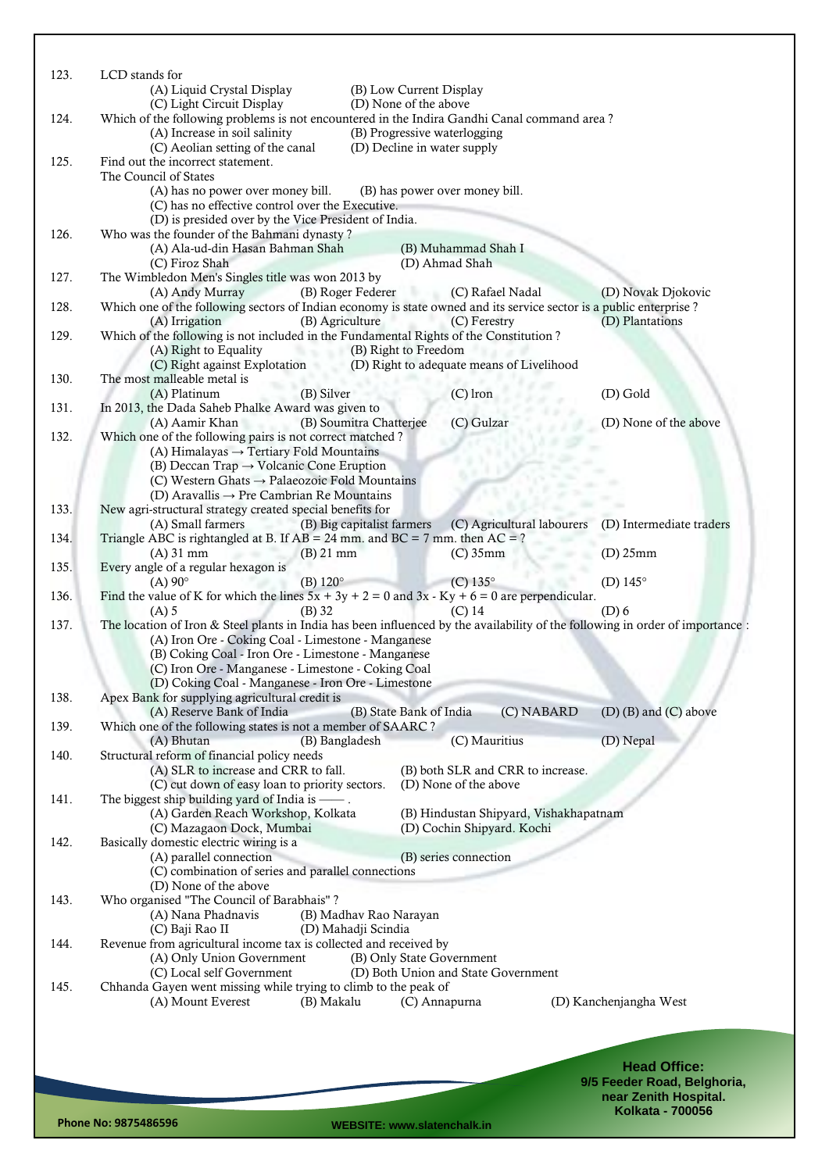| 123. | LCD stands for<br>(A) Liquid Crystal Display<br>(B) Low Current Display                                                                                                                              |
|------|------------------------------------------------------------------------------------------------------------------------------------------------------------------------------------------------------|
|      | (C) Light Circuit Display<br>(D) None of the above                                                                                                                                                   |
| 124. | Which of the following problems is not encountered in the Indira Gandhi Canal command area?<br>(A) Increase in soil salinity<br>(B) Progressive waterlogging                                         |
|      | (C) Aeolian setting of the canal<br>(D) Decline in water supply                                                                                                                                      |
| 125. | Find out the incorrect statement.<br>The Council of States                                                                                                                                           |
|      | (A) has no power over money bill.<br>(B) has power over money bill.                                                                                                                                  |
|      | (C) has no effective control over the Executive.<br>(D) is presided over by the Vice President of India.                                                                                             |
| 126. | Who was the founder of the Bahmani dynasty?                                                                                                                                                          |
|      | (A) Ala-ud-din Hasan Bahman Shah<br>(B) Muhammad Shah I<br>(D) Ahmad Shah<br>(C) Firoz Shah                                                                                                          |
| 127. | The Wimbledon Men's Singles title was won 2013 by                                                                                                                                                    |
| 128. | (B) Roger Federer<br>(A) Andy Murray<br>(C) Rafael Nadal<br>(D) Novak Djokovic<br>Which one of the following sectors of Indian economy is state owned and its service sector is a public enterprise? |
|      | (B) Agriculture<br>(C) Ferestry<br>(D) Plantations<br>(A) Irrigation                                                                                                                                 |
| 129. | Which of the following is not included in the Fundamental Rights of the Constitution?                                                                                                                |
|      | (B) Right to Freedom<br>(A) Right to Equality<br>(C) Right against Explotation (D) Right to adequate means of Livelihood                                                                             |
| 130. | The most malleable metal is                                                                                                                                                                          |
| 131. | (B) Silver<br>(A) Platinum<br>$(C)$ lron<br>(D) Gold<br>In 2013, the Dada Saheb Phalke Award was given to                                                                                            |
|      | (B) Soumitra Chatterjee<br>(C) Gulzar<br>(D) None of the above<br>(A) Aamir Khan                                                                                                                     |
| 132. | Which one of the following pairs is not correct matched?<br>(A) Himalayas $\rightarrow$ Tertiary Fold Mountains                                                                                      |
|      | (B) Deccan Trap $\rightarrow$ Volcanic Cone Eruption                                                                                                                                                 |
|      | (C) Western Ghats $\rightarrow$ Palaeozoic Fold Mountains<br>(D) Aravallis $\rightarrow$ Pre Cambrian Re Mountains                                                                                   |
| 133. | New agri-structural strategy created special benefits for                                                                                                                                            |
| 134. | (A) Small farmers<br>(B) Big capitalist farmers<br>(C) Agricultural labourers<br>(D) Intermediate traders<br>Triangle ABC is rightangled at B. If $AB = 24$ mm. and $BC = 7$ mm. then $AC = ?$       |
|      | $(A)$ 31 mm<br>$(B)$ 21 mm<br>$(C)$ 35mm<br>$(D)$ 25mm                                                                                                                                               |
| 135. | Every angle of a regular hexagon is<br>(D) $145^\circ$<br>$(A)$ 90 $^{\circ}$<br>(B) $120^\circ$<br>$(C)$ 135 $^{\circ}$                                                                             |
| 136. | Find the value of K for which the lines $5x + 3y + 2 = 0$ and $3x - Ky + 6 = 0$ are perpendicular.                                                                                                   |
| 137. | $(D)$ 6<br>$(A)$ 5<br>$(B)$ 32<br>$(C)$ 14<br>The location of Iron & Steel plants in India has been influenced by the availability of the following in order of importance :                         |
|      | (A) Iron Ore - Coking Coal - Limestone - Manganese                                                                                                                                                   |
|      | (B) Coking Coal - Iron Ore - Limestone - Manganese<br>(C) Iron Ore - Manganese - Limestone - Coking Coal                                                                                             |
|      | (D) Coking Coal - Manganese - Iron Ore - Limestone                                                                                                                                                   |
| 138. | Apex Bank for supplying agricultural credit is<br>(A) Reserve Bank of India<br>$(D)$ (B) and $(C)$ above<br>(B) State Bank of India                                                                  |
| 139. | (C) NABARD<br>Which one of the following states is not a member of SAARC?                                                                                                                            |
|      | (C) Mauritius<br>(D) Nepal<br>(A) Bhutan<br>(B) Bangladesh                                                                                                                                           |
| 140. | Structural reform of financial policy needs<br>(A) SLR to increase and CRR to fall.<br>(B) both SLR and CRR to increase.                                                                             |
|      | (C) cut down of easy loan to priority sectors.<br>(D) None of the above                                                                                                                              |
| 141. | The biggest ship building yard of India is — .<br>(A) Garden Reach Workshop, Kolkata<br>(B) Hindustan Shipyard, Vishakhapatnam                                                                       |
|      | (D) Cochin Shipyard. Kochi<br>(C) Mazagaon Dock, Mumbai                                                                                                                                              |
| 142. | Basically domestic electric wiring is a<br>(A) parallel connection<br>(B) series connection                                                                                                          |
|      | (C) combination of series and parallel connections                                                                                                                                                   |
| 143. | (D) None of the above<br>Who organised "The Council of Barabhais"?                                                                                                                                   |
|      | (A) Nana Phadnavis<br>(B) Madhav Rao Narayan                                                                                                                                                         |
| 144. | (C) Baji Rao II<br>(D) Mahadji Scindia<br>Revenue from agricultural income tax is collected and received by                                                                                          |
|      | (A) Only Union Government<br>(B) Only State Government                                                                                                                                               |
| 145. | (C) Local self Government<br>(D) Both Union and State Government<br>Chhanda Gayen went missing while trying to climb to the peak of                                                                  |
|      | (A) Mount Everest<br>(B) Makalu<br>(D) Kanchenjangha West<br>(C) Annapurna                                                                                                                           |
|      |                                                                                                                                                                                                      |
|      |                                                                                                                                                                                                      |
|      | <b>Head Office:</b>                                                                                                                                                                                  |

**9/5 Feeder Road, Belghoria, near Zenith Hospital. Kolkata - 700056**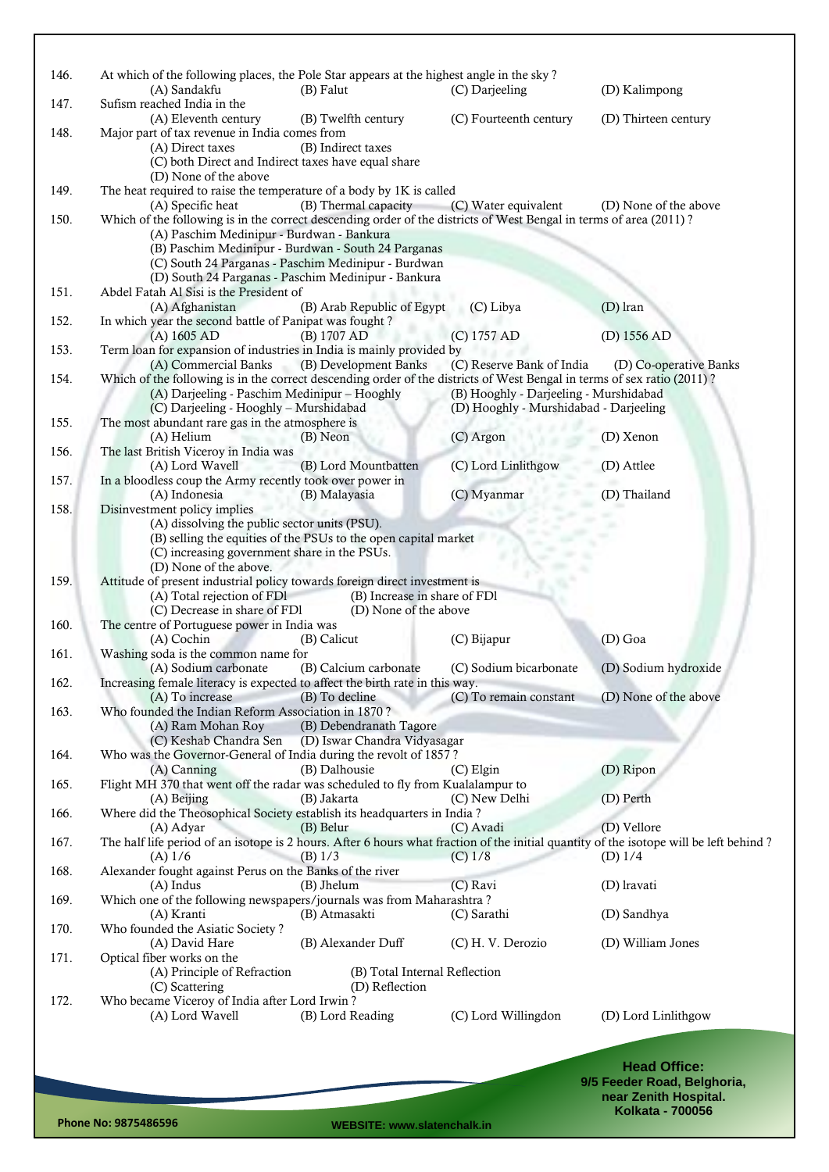| 146. | At which of the following places, the Pole Star appears at the highest angle in the sky?<br>(A) Sandakfu                                                                                                          | (B) Falut                                                                                                                          | (C) Darjeeling                                                                   | (D) Kalimpong          |
|------|-------------------------------------------------------------------------------------------------------------------------------------------------------------------------------------------------------------------|------------------------------------------------------------------------------------------------------------------------------------|----------------------------------------------------------------------------------|------------------------|
| 147. | Sufism reached India in the<br>(A) Eleventh century                                                                                                                                                               | (B) Twelfth century                                                                                                                | (C) Fourteenth century                                                           | (D) Thirteen century   |
| 148. | Major part of tax revenue in India comes from<br>(A) Direct taxes<br>(C) both Direct and Indirect taxes have equal share                                                                                          | (B) Indirect taxes                                                                                                                 |                                                                                  |                        |
| 149. | (D) None of the above<br>The heat required to raise the temperature of a body by 1K is called                                                                                                                     |                                                                                                                                    |                                                                                  |                        |
| 150. | (A) Specific heat<br>Which of the following is in the correct descending order of the districts of West Bengal in terms of area (2011)?<br>(A) Paschim Medinipur - Burdwan - Bankura                              | (B) Thermal capacity<br>(B) Paschim Medinipur - Burdwan - South 24 Parganas<br>(C) South 24 Parganas - Paschim Medinipur - Burdwan | (C) Water equivalent                                                             | (D) None of the above  |
|      | Abdel Fatah Al Sisi is the President of                                                                                                                                                                           | (D) South 24 Parganas - Paschim Medinipur - Bankura                                                                                |                                                                                  |                        |
| 151. | (A) Afghanistan                                                                                                                                                                                                   | (B) Arab Republic of Egypt                                                                                                         | (C) Libya                                                                        | (D) Iran               |
| 152. | In which year the second battle of Panipat was fought?                                                                                                                                                            |                                                                                                                                    | (C) 1757 AD                                                                      |                        |
| 153. | (A) 1605 AD<br>Term loan for expansion of industries in India is mainly provided by                                                                                                                               | (B) 1707 AD                                                                                                                        |                                                                                  | (D) 1556 AD            |
|      | (A) Commercial Banks                                                                                                                                                                                              | (B) Development Banks                                                                                                              | (C) Reserve Bank of India                                                        | (D) Co-operative Banks |
| 154. | Which of the following is in the correct descending order of the districts of West Bengal in terms of sex ratio (2011)?<br>(A) Darjeeling - Paschim Medinipur – Hooghly<br>(C) Darjeeling - Hooghly - Murshidabad |                                                                                                                                    | (B) Hooghly - Darjeeling - Murshidabad<br>(D) Hooghly - Murshidabad - Darjeeling |                        |
| 155. | The most abundant rare gas in the atmosphere is<br>(A) Helium                                                                                                                                                     | (B) Neon                                                                                                                           | (C) Argon                                                                        | (D) Xenon              |
| 156. | The last British Viceroy in India was                                                                                                                                                                             |                                                                                                                                    |                                                                                  |                        |
| 157. | (A) Lord Wavell<br>In a bloodless coup the Army recently took over power in                                                                                                                                       | (B) Lord Mountbatten                                                                                                               | (C) Lord Linlithgow                                                              | (D) Attlee             |
|      | (A) Indonesia                                                                                                                                                                                                     | (B) Malayasia                                                                                                                      | (C) Myanmar                                                                      | (D) Thailand           |
| 158. | Disinvestment policy implies<br>(A) dissolving the public sector units (PSU).<br>(C) increasing government share in the PSUs.<br>(D) None of the above.                                                           | (B) selling the equities of the PSUs to the open capital market                                                                    |                                                                                  |                        |
| 159. | Attitude of present industrial policy towards foreign direct investment is<br>(A) Total rejection of FD1<br>(C) Decrease in share of FDI                                                                          | (B) Increase in share of FD1<br>(D) None of the above                                                                              |                                                                                  |                        |
| 160. | The centre of Portuguese power in India was<br>(A) Cochin                                                                                                                                                         | (B) Calicut                                                                                                                        | (C) Bijapur                                                                      | (D) Goa                |
| 161. | Washing soda is the common name for                                                                                                                                                                               |                                                                                                                                    |                                                                                  |                        |
| 162. | (A) Sodium carbonate<br>Increasing female literacy is expected to affect the birth rate in this way.                                                                                                              | (B) Calcium carbonate                                                                                                              | (C) Sodium bicarbonate                                                           | (D) Sodium hydroxide   |
|      | (A) To increase                                                                                                                                                                                                   | (B) To decline                                                                                                                     | (C) To remain constant                                                           | (D) None of the above  |
| 163. | Who founded the Indian Reform Association in 1870?<br>(A) Ram Mohan Roy                                                                                                                                           | (B) Debendranath Tagore                                                                                                            |                                                                                  |                        |
|      | (C) Keshab Chandra Sen                                                                                                                                                                                            | (D) Iswar Chandra Vidyasagar                                                                                                       |                                                                                  |                        |
| 164. | Who was the Governor-General of India during the revolt of 1857?                                                                                                                                                  |                                                                                                                                    |                                                                                  |                        |
| 165. | (A) Canning<br>Flight MH 370 that went off the radar was scheduled to fly from Kualalampur to                                                                                                                     | (B) Dalhousie                                                                                                                      | $(C)$ Elgin                                                                      | (D) Ripon              |
|      | $(A)$ Beijing                                                                                                                                                                                                     | (B) Jakarta                                                                                                                        | (C) New Delhi                                                                    | (D) Perth              |
| 166. | Where did the Theosophical Society establish its headquarters in India?<br>(A) Adyar                                                                                                                              | (B) Belur                                                                                                                          |                                                                                  | (D) Vellore            |
| 167. | The half life period of an isotope is 2 hours. After 6 hours what fraction of the initial quantity of the isotope will be left behind?<br>$(A)$ 1/6                                                               | $(B)$ 1/3                                                                                                                          | (C) Avadi<br>$(C)$ 1/8                                                           | (D) $1/4$              |
| 168. | Alexander fought against Perus on the Banks of the river                                                                                                                                                          |                                                                                                                                    |                                                                                  |                        |
| 169. | $(A)$ Indus<br>Which one of the following newspapers/journals was from Maharashtra?                                                                                                                               | (B) Jhelum                                                                                                                         | (C) Ravi                                                                         | (D) lravati            |
|      | (A) Kranti                                                                                                                                                                                                        | (B) Atmasakti                                                                                                                      | (C) Sarathi                                                                      | (D) Sandhya            |
| 170. | Who founded the Asiatic Society?<br>(A) David Hare                                                                                                                                                                | (B) Alexander Duff                                                                                                                 | (C) H. V. Derozio                                                                | (D) William Jones      |
| 171. | Optical fiber works on the<br>(A) Principle of Refraction<br>(C) Scattering                                                                                                                                       | (B) Total Internal Reflection<br>(D) Reflection                                                                                    |                                                                                  |                        |
| 172. | Who became Viceroy of India after Lord Irwin?                                                                                                                                                                     |                                                                                                                                    |                                                                                  |                        |
|      | (A) Lord Wavell                                                                                                                                                                                                   | (B) Lord Reading                                                                                                                   | (C) Lord Willingdon                                                              | (D) Lord Linlithgow    |
|      |                                                                                                                                                                                                                   |                                                                                                                                    |                                                                                  |                        |
|      |                                                                                                                                                                                                                   |                                                                                                                                    |                                                                                  | $II \sim 1$ $OIII$     |

**Head Office: 9/5 Feeder Road, Belghoria, near Zenith Hospital. Kolkata - 700056**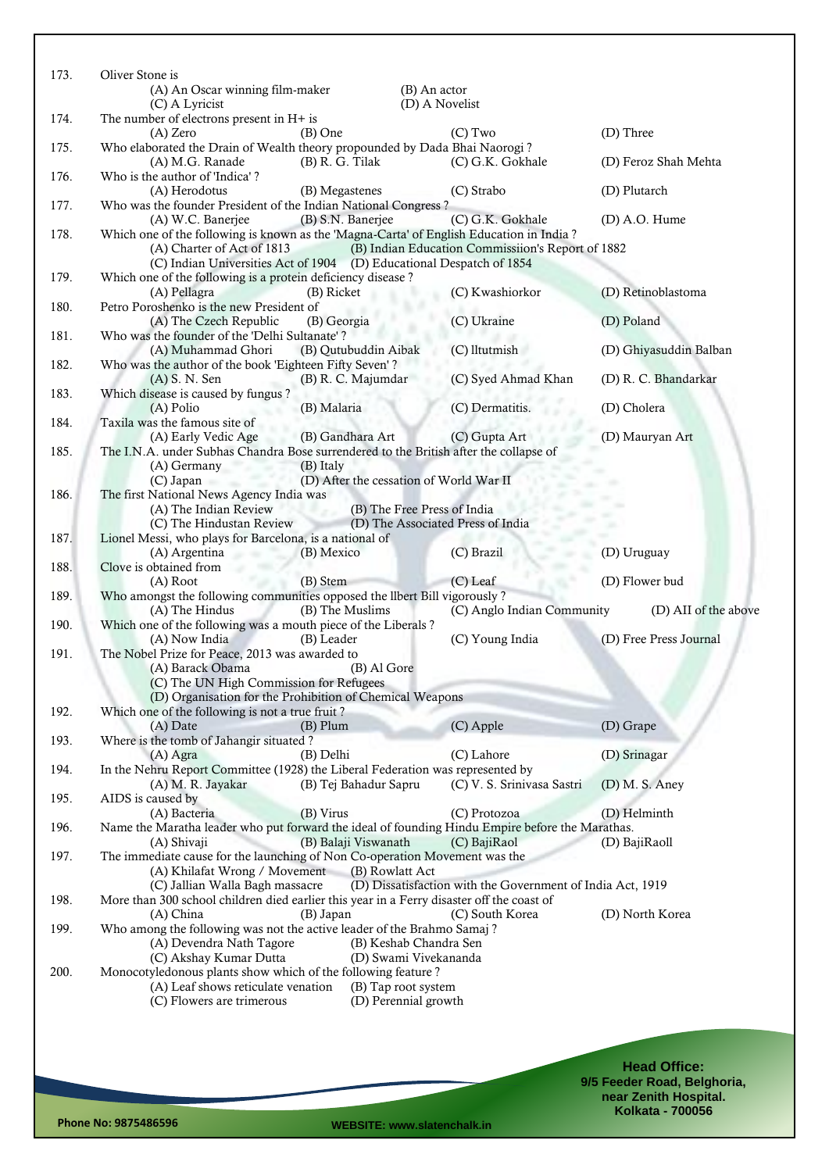| 173. | Oliver Stone is                                                                                                                     |                       |                                                            |                        |
|------|-------------------------------------------------------------------------------------------------------------------------------------|-----------------------|------------------------------------------------------------|------------------------|
|      | (A) An Oscar winning film-maker                                                                                                     |                       | (B) An actor<br>(D) A Novelist                             |                        |
| 174. | (C) A Lyricist<br>The number of electrons present in $H+$ is                                                                        |                       |                                                            |                        |
|      | (A) Zero                                                                                                                            | $(B)$ One             | $(C)$ Two                                                  | (D) Three              |
| 175. | Who elaborated the Drain of Wealth theory propounded by Dada Bhai Naorogi?<br>(A) M.G. Ranade                                       | $(B)$ R. G. Tilak     | (C) G.K. Gokhale                                           | (D) Feroz Shah Mehta   |
| 176. | Who is the author of 'Indica'?<br>(A) Herodotus                                                                                     | (B) Megastenes        | (C) Strabo                                                 | (D) Plutarch           |
| 177. | Who was the founder President of the Indian National Congress?                                                                      |                       |                                                            |                        |
| 178. | (A) W.C. Banerjee<br>Which one of the following is known as the 'Magna-Carta' of English Education in India?                        | (B) S.N. Banerjee     | (C) G.K. Gokhale                                           | $(D)$ A.O. Hume        |
|      | (A) Charter of Act of 1813                                                                                                          |                       | (B) Indian Education Commissiion's Report of 1882          |                        |
| 179. | (C) Indian Universities Act of 1904 (D) Educational Despatch of 1854<br>Which one of the following is a protein deficiency disease? |                       |                                                            |                        |
|      | (A) Pellagra                                                                                                                        | (B) Ricket            | (C) Kwashiorkor                                            | (D) Retinoblastoma     |
| 180. | Petro Poroshenko is the new President of                                                                                            |                       |                                                            |                        |
|      | (A) The Czech Republic                                                                                                              | (B) Georgia           | (C) Ukraine                                                | (D) Poland             |
| 181. | Who was the founder of the 'Delhi Sultanate'?<br>(A) Muhammad Ghori                                                                 | (B) Qutubuddin Aibak  | (C) lltutmish                                              | (D) Ghiyasuddin Balban |
| 182. | Who was the author of the book 'Eighteen Fifty Seven'?                                                                              |                       |                                                            |                        |
|      | (A) S. N. Sen                                                                                                                       | (B) R. C. Majumdar    | (C) Syed Ahmad Khan                                        | (D) R. C. Bhandarkar   |
| 183. | Which disease is caused by fungus?                                                                                                  | (B) Malaria           | (C) Dermatitis.                                            |                        |
| 184. | (A) Polio<br>Taxila was the famous site of                                                                                          |                       |                                                            | (D) Cholera            |
|      | (A) Early Vedic Age                                                                                                                 | (B) Gandhara Art      | (C) Gupta Art                                              | (D) Mauryan Art        |
| 185. | The I.N.A. under Subhas Chandra Bose surrendered to the British after the collapse of                                               |                       |                                                            |                        |
|      | (A) Germany                                                                                                                         | (B) Italy             | (D) After the cessation of World War II                    |                        |
| 186. | (C) Japan<br>The first National News Agency India was                                                                               |                       |                                                            |                        |
|      | (A) The Indian Review                                                                                                               |                       | (B) The Free Press of India                                |                        |
|      | (C) The Hindustan Review                                                                                                            |                       | (D) The Associated Press of India                          |                        |
| 187. | Lionel Messi, who plays for Barcelona, is a national of                                                                             |                       |                                                            |                        |
| 188. | (A) Argentina<br>Clove is obtained from                                                                                             | (B) Mexico            | (C) Brazil                                                 | (D) Uruguay            |
|      | (A) Root                                                                                                                            | (B) Stem              | $(C)$ Leaf                                                 | (D) Flower bud         |
| 189. | Who amongst the following communities opposed the llbert Bill vigorously?                                                           |                       |                                                            |                        |
| 190. | (A) The Hindus<br>Which one of the following was a mouth piece of the Liberals?                                                     | (B) The Muslims       | (C) Anglo Indian Community                                 | (D) AII of the above   |
|      | (A) Now India                                                                                                                       | (B) Leader            | (C) Young India                                            | (D) Free Press Journal |
| 191. | The Nobel Prize for Peace, 2013 was awarded to                                                                                      |                       |                                                            |                        |
|      | (A) Barack Obama                                                                                                                    | (B) Al Gore           |                                                            |                        |
|      | (C) The UN High Commission for Refugees<br>(D) Organisation for the Prohibition of Chemical Weapons                                 |                       |                                                            |                        |
| 192. | Which one of the following is not a true fruit?                                                                                     |                       |                                                            |                        |
|      | (A) Date                                                                                                                            | $(B)$ Plum            | (C) Apple                                                  | (D) Grape              |
| 193. | Where is the tomb of Jahangir situated?                                                                                             |                       |                                                            |                        |
| 194. | (A) Agra<br>In the Nehru Report Committee (1928) the Liberal Federation was represented by                                          | (B) Delhi             | (C) Lahore                                                 | (D) Srinagar           |
|      | (A) M. R. Jayakar                                                                                                                   | (B) Tej Bahadur Sapru | (C) V. S. Srinivasa Sastri                                 | (D) M. S. Aney         |
| 195. | AIDS is caused by                                                                                                                   |                       |                                                            |                        |
|      | (A) Bacteria                                                                                                                        | (B) Virus             | (C) Protozoa                                               | (D) Helminth           |
| 196. | Name the Maratha leader who put forward the ideal of founding Hindu Empire before the Marathas.<br>(A) Shivaji                      | (B) Balaji Viswanath  | (C) BajiRaol                                               | (D) BajiRaoll          |
| 197. | The immediate cause for the launching of Non Co-operation Movement was the                                                          |                       |                                                            |                        |
|      | (A) Khilafat Wrong / Movement                                                                                                       | (B) Rowlatt Act       |                                                            |                        |
|      | (C) Jallian Walla Bagh massacre                                                                                                     |                       | (D) Dissatisfaction with the Government of India Act, 1919 |                        |
| 198. | More than 300 school children died earlier this year in a Ferry disaster off the coast of<br>(A) China                              | (B) Japan             | (C) South Korea                                            | (D) North Korea        |
| 199. | Who among the following was not the active leader of the Brahmo Samaj?                                                              |                       |                                                            |                        |
|      | (A) Devendra Nath Tagore                                                                                                            |                       | (B) Keshab Chandra Sen                                     |                        |
|      | (C) Akshay Kumar Dutta                                                                                                              |                       | (D) Swami Vivekananda                                      |                        |
| 200. | Monocotyledonous plants show which of the following feature?<br>(A) Leaf shows reticulate venation                                  |                       | (B) Tap root system                                        |                        |
|      | (C) Flowers are trimerous                                                                                                           |                       | (D) Perennial growth                                       |                        |
|      |                                                                                                                                     |                       |                                                            |                        |
|      |                                                                                                                                     |                       |                                                            |                        |
|      |                                                                                                                                     |                       |                                                            |                        |
|      |                                                                                                                                     |                       |                                                            | <b>Head Office:</b>    |

**9/5 Feeder Road, Belghoria, near Zenith Hospital. Kolkata - 700056**